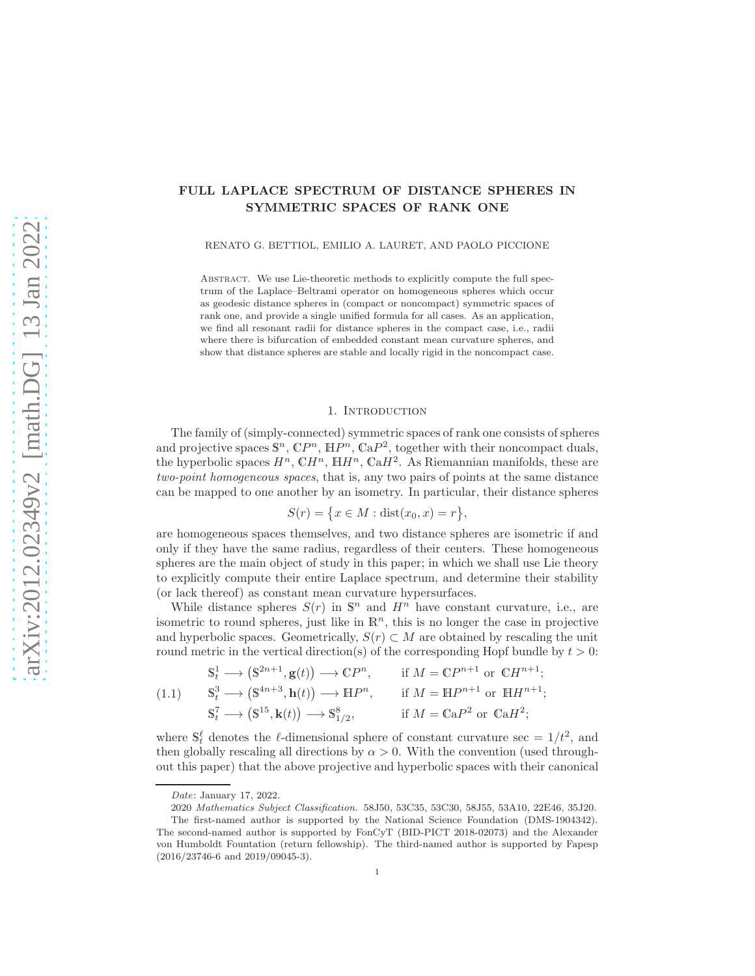### FULL LAPLACE SPECTRUM OF DISTANCE SPHERES IN SYMMETRIC SPACES OF RANK ONE

RENATO G. BETTIOL, EMILIO A. LAURET, AND PAOLO PICCIONE

ABSTRACT. We use Lie-theoretic methods to explicitly compute the full spectrum of the Laplace–Beltrami operator on homogeneous spheres which occur as geodesic distance spheres in (compact or noncompact) symmetric spaces of rank one, and provide a single unified formula for all cases. As an application, we find all resonant radii for distance spheres in the compact case, i.e., radii where there is bifurcation of embedded constant mean curvature spheres, and show that distance spheres are stable and locally rigid in the noncompact case.

#### 1. INTRODUCTION

The family of (simply-connected) symmetric spaces of rank one consists of spheres and projective spaces  $\mathbb{S}^n$ ,  $\mathbb{C}P^n$ ,  $\mathbb{H}P^n$ ,  $\mathbb{C}aP^2$ , together with their noncompact duals, the hyperbolic spaces  $H^n$ ,  $\mathbb{C}H^n$ ,  $\mathbb{H}H^n$ ,  $\mathbb{C}aH^2$ . As Riemannian manifolds, these are two-point homogeneous spaces, that is, any two pairs of points at the same distance can be mapped to one another by an isometry. In particular, their distance spheres

$$
S(r) = \{x \in M : dist(x_0, x) = r\},\
$$

are homogeneous spaces themselves, and two distance spheres are isometric if and only if they have the same radius, regardless of their centers. These homogeneous spheres are the main object of study in this paper; in which we shall use Lie theory to explicitly compute their entire Laplace spectrum, and determine their stability (or lack thereof) as constant mean curvature hypersurfaces.

While distance spheres  $S(r)$  in  $\mathbb{S}^n$  and  $H^n$  have constant curvature, i.e., are isometric to round spheres, just like in  $\mathbb{R}^n$ , this is no longer the case in projective and hyperbolic spaces. Geometrically,  $S(r) \subset M$  are obtained by rescaling the unit round metric in the vertical direction(s) of the corresponding Hopf bundle by  $t > 0$ :

<span id="page-0-0"></span>1.1) 
$$
\begin{aligned}\n\mathbb{S}_t^1 &\longrightarrow (\mathbb{S}^{2n+1}, \mathbf{g}(t)) \longrightarrow \mathbb{C}P^n, &\text{if } M = \mathbb{C}P^{n+1} \text{ or } \mathbb{C}H^{n+1}; \\
\mathbb{S}_t^3 &\longrightarrow (\mathbb{S}^{4n+3}, \mathbf{h}(t)) \longrightarrow \mathbb{H}P^n, &\text{if } M = \mathbb{H}P^{n+1} \text{ or } \mathbb{H}H^{n+1}; \\
\mathbb{S}_t^7 &\longrightarrow (\mathbb{S}^{15}, \mathbf{k}(t)) \longrightarrow \mathbb{S}_{1/2}^8, &\text{if } M = \mathbb{C}aP^2 \text{ or } \mathbb{C}aH^2;\n\end{aligned}
$$

where  $\mathbb{S}_{t}^{\ell}$  denotes the  $\ell$ -dimensional sphere of constant curvature sec =  $1/t^{2}$ , and then globally rescaling all directions by  $\alpha > 0$ . With the convention (used throughout this paper) that the above projective and hyperbolic spaces with their canonical

 $($ 

Date: January 17, 2022.

<sup>2020</sup> Mathematics Subject Classification. 58J50, 53C35, 53C30, 58J55, 53A10, 22E46, 35J20.

The first-named author is supported by the National Science Foundation (DMS-1904342). The second-named author is supported by FonCyT (BID-PICT 2018-02073) and the Alexander von Humboldt Fountation (return fellowship). The third-named author is supported by Fapesp (2016/23746-6 and 2019/09045-3).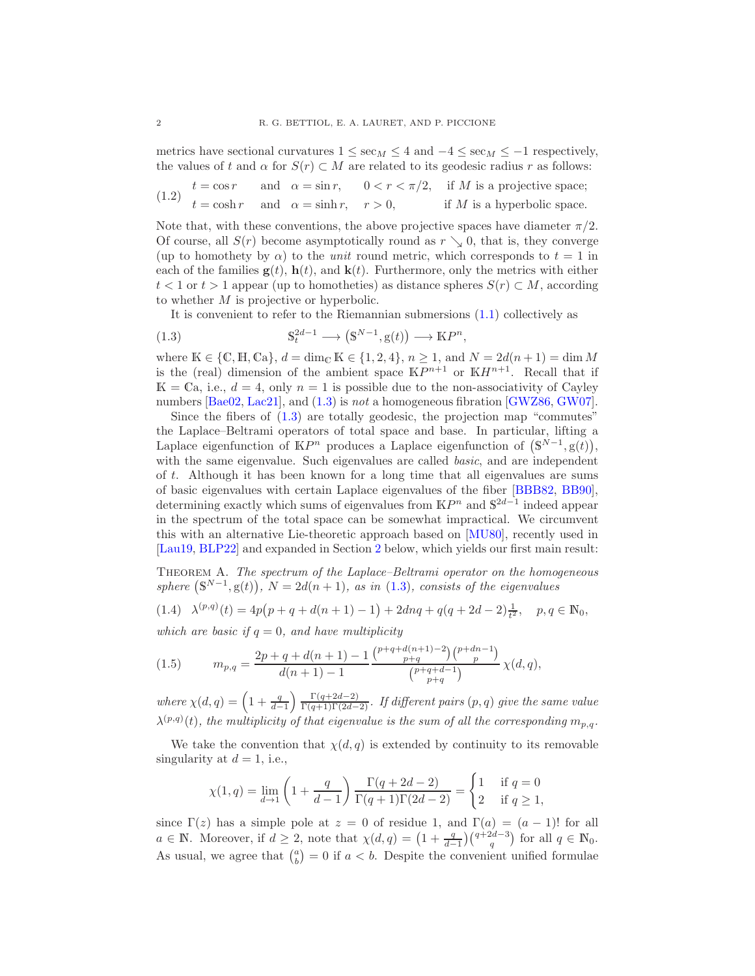metrics have sectional curvatures  $1 \le \sec_M \le 4$  and  $-4 \le \sec_M \le -1$  respectively, the values of t and  $\alpha$  for  $S(r) \subset M$  are related to its geodesic radius r as follows:

<span id="page-1-4"></span>(1.2) 
$$
t = \cos r
$$
 and  $\alpha = \sin r$ ,  $0 < r < \pi/2$ , if M is a projective space;  $t = \cosh r$  and  $\alpha = \sinh r$ ,  $r > 0$ , if M is a hyperbolic space.

Note that, with these conventions, the above projective spaces have diameter  $\pi/2$ . Of course, all  $S(r)$  become asymptotically round as  $r \searrow 0$ , that is, they converge (up to homothety by  $\alpha$ ) to the *unit* round metric, which corresponds to  $t = 1$  in each of the families  $g(t)$ ,  $h(t)$ , and  $k(t)$ . Furthermore, only the metrics with either  $t < 1$  or  $t > 1$  appear (up to homotheties) as distance spheres  $S(r) \subset M$ , according to whether M is projective or hyperbolic.

<span id="page-1-0"></span>It is convenient to refer to the Riemannian submersions [\(1.1\)](#page-0-0) collectively as

,

(1.3) 
$$
\mathbb{S}_t^{2d-1} \longrightarrow (\mathbb{S}^{N-1}, \mathbb{g}(t)) \longrightarrow \mathbb{K}P^n
$$

where  $K \in \{C, H, Ca\}, d = \dim_{\mathbb{C}} K \in \{1, 2, 4\}, n \ge 1$ , and  $N = 2d(n+1) = \dim M$ is the (real) dimension of the ambient space  $\mathbb{K}P^{n+1}$  or  $\mathbb{K}H^{n+1}$ . Recall that if  $\mathbb{K} = \mathbb{C}$ a, i.e.,  $d = 4$ , only  $n = 1$  is possible due to the non-associativity of Cayley numbers [\[Bae02,](#page-17-0) [Lac21\]](#page-18-0), and [\(1.3\)](#page-1-0) is not a homogeneous fibration [\[GWZ86,](#page-18-1) [GW07\]](#page-18-2).

Since the fibers of  $(1.3)$  are totally geodesic, the projection map "commutes" the Laplace–Beltrami operators of total space and base. In particular, lifting a Laplace eigenfunction of  $\mathbb{K}P^n$  produces a Laplace eigenfunction of  $(\mathbb{S}^{N-1}, \mathbb{g}(t)),$ with the same eigenvalue. Such eigenvalues are called *basic*, and are independent of t. Although it has been known for a long time that all eigenvalues are sums of basic eigenvalues with certain Laplace eigenvalues of the fiber [\[BBB82,](#page-17-1) [BB90\]](#page-17-2), determining exactly which sums of eigenvalues from  $\mathbb{K}P^n$  and  $\mathbb{S}^{2d-1}$  indeed appear in the spectrum of the total space can be somewhat impractical. We circumvent this with an alternative Lie-theoretic approach based on [\[MU80\]](#page-18-3), recently used in [Lau19, [BLP22\]](#page-17-3) and expanded in Section [2](#page-3-0) below, which yields our first main result:

<span id="page-1-3"></span>Theorem A. The spectrum of the Laplace–Beltrami operator on the homogeneous sphere  $(\mathbb{S}^{N-1}, \mathbb{g}(t)), N = 2d(n+1),$  as in [\(1.3\)](#page-1-0), consists of the eigenvalues

<span id="page-1-1"></span>
$$
(1.4)\quad\lambda^{(p,q)}(t)=4p\big(p+q+d(n+1)-1\big)+2dnq+q(q+2d-2)\tfrac{1}{t^2},\quad p,q\in\mathbb{N}_0,
$$

which are basic if  $q = 0$ , and have multiplicity

<span id="page-1-2"></span>(1.5) 
$$
m_{p,q} = \frac{2p+q+d(n+1)-1}{d(n+1)-1} \frac{\binom{p+q+d(n+1)-2}{p+q}\binom{p+dn-1}{p}}{\binom{p+q+d-1}{p+q}} \chi(d,q),
$$

where  $\chi(d,q) = \left(1 + \frac{q}{d-1}\right)$  $\left(\frac{\Gamma(q+2d-2)}{\Gamma(q+1)\Gamma(2d-2)}\right)$ . If different pairs  $(p, q)$  give the same value  $\lambda^{(p,q)}(t)$ , the multiplicity of that eigenvalue is the sum of all the corresponding  $m_{p,q}$ .

We take the convention that  $\chi(d,q)$  is extended by continuity to its removable singularity at  $d = 1$ , i.e.,

$$
\chi(1,q) = \lim_{d \to 1} \left( 1 + \frac{q}{d-1} \right) \frac{\Gamma(q + 2d - 2)}{\Gamma(q+1)\Gamma(2d-2)} = \begin{cases} 1 & \text{if } q = 0 \\ 2 & \text{if } q \ge 1, \end{cases}
$$

since  $\Gamma(z)$  has a simple pole at  $z = 0$  of residue 1, and  $\Gamma(a) = (a - 1)!$  for all  $a \in \mathbb{N}$ . Moreover, if  $d \geq 2$ , note that  $\chi(d,q) = \left(1 + \frac{q}{d-1}\right)\binom{q+2d-3}{q}$  for all  $q \in \mathbb{N}_0$ . As usual, we agree that  $\binom{a}{b} = 0$  if  $a < b$ . Despite the convenient unified formulae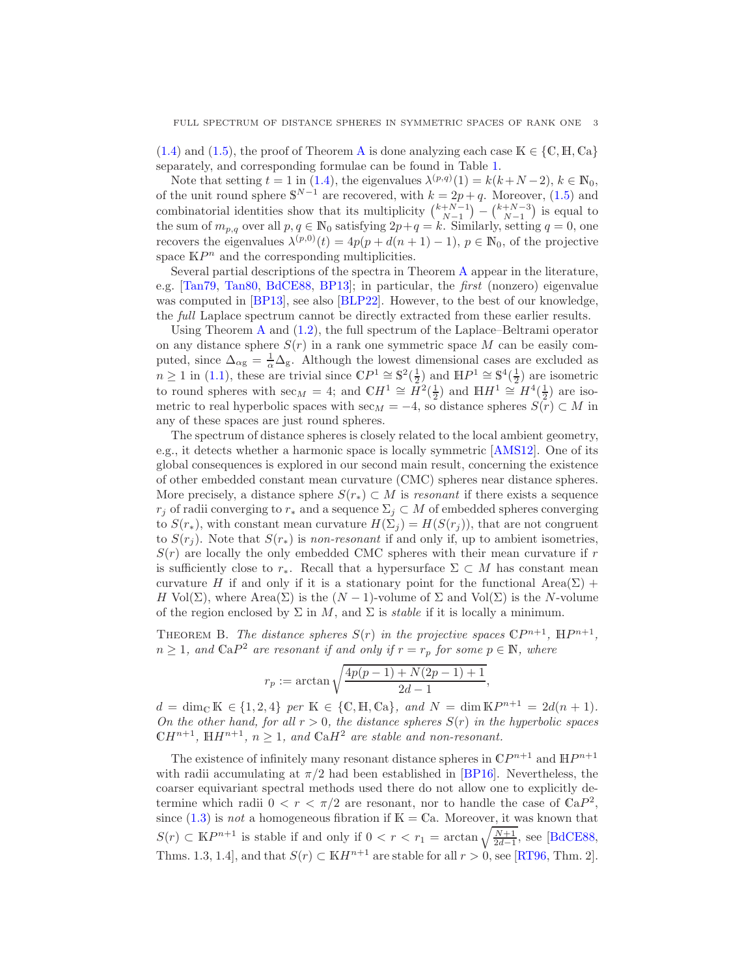$(1.4)$  and  $(1.5)$ , the proof of Theorem [A](#page-1-3) is done analyzing each case  $\mathbb{K} \in \{ \mathbb{C}, \mathbb{H}, \mathbb{C} \}$ separately, and corresponding formulae can be found in Table [1.](#page-12-0)

Note that setting  $t = 1$  in [\(1.4\)](#page-1-1), the eigenvalues  $\lambda^{(p,q)}(1) = k(k+N-2), k \in \mathbb{N}_0$ , of the unit round sphere  $\mathbb{S}^{N-1}$  are recovered, with  $k = 2p + q$ . Moreover, [\(1.5\)](#page-1-2) and combinatorial identities show that its multiplicity  $\binom{k+N-1}{N-1} - \binom{k+N-3}{N-1}$  is equal to the sum of  $m_{p,q}$  over all  $p, q \in \mathbb{N}_0$  satisfying  $2p+q = k$ . Similarly, setting  $q = 0$ , one recovers the eigenvalues  $\lambda^{(p,0)}(t) = 4p(p + d(n + 1) - 1)$ ,  $p \in \mathbb{N}_0$ , of the projective space  $\mathbb{K}P^n$  and the corresponding multiplicities.

Several partial descriptions of the spectra in Theorem [A](#page-1-3) appear in the literature, e.g. [\[Tan79,](#page-18-4) [Tan80,](#page-18-5) [BdCE88,](#page-17-4) [BP13\]](#page-17-5); in particular, the first (nonzero) eigenvalue was computed in [\[BP13\]](#page-17-5), see also [\[BLP22\]](#page-17-3). However, to the best of our knowledge, the full Laplace spectrum cannot be directly extracted from these earlier results.

Using Theorem [A](#page-1-3) and [\(1.2\)](#page-1-4), the full spectrum of the Laplace–Beltrami operator on any distance sphere  $S(r)$  in a rank one symmetric space M can be easily computed, since  $\Delta_{\alpha g} = \frac{1}{\alpha} \Delta_g$ . Although the lowest dimensional cases are excluded as  $n \geq 1$  in [\(1.1\)](#page-0-0), these are trivial since  $\mathbb{C}P^1 \cong \mathbb{S}^2(\frac{1}{2})$  and  $\mathbb{H}P^1 \cong \mathbb{S}^4(\frac{1}{2})$  are isometric to round spheres with  $\sec_M = 4$ ; and  $\mathbb{C}H^1 \cong H^2(\frac{1}{2})$  and  $\mathbb{H}H^1 \cong H^4(\frac{1}{2})$  are isometric to real hyperbolic spaces with sec<sub>M</sub> = −4, so distance spheres  $S(\overline{r}) \subset M$  in any of these spaces are just round spheres.

The spectrum of distance spheres is closely related to the local ambient geometry, e.g., it detects whether a harmonic space is locally symmetric [\[AMS12\]](#page-17-6). One of its global consequences is explored in our second main result, concerning the existence of other embedded constant mean curvature (CMC) spheres near distance spheres. More precisely, a distance sphere  $S(r_*) \subset M$  is *resonant* if there exists a sequence  $r_j$  of radii converging to  $r_*$  and a sequence  $\Sigma_j \subset M$  of embedded spheres converging to  $S(r_*)$ , with constant mean curvature  $H(\Sigma_i) = H(S(r_i))$ , that are not congruent to  $S(r_i)$ . Note that  $S(r_*)$  is non-resonant if and only if, up to ambient isometries,  $S(r)$  are locally the only embedded CMC spheres with their mean curvature if r is sufficiently close to  $r_*$ . Recall that a hypersurface  $\Sigma \subset M$  has constant mean curvature H if and only if it is a stationary point for the functional  $Area(\Sigma)$  + H Vol( $\Sigma$ ), where Area( $\Sigma$ ) is the  $(N-1)$ -volume of  $\Sigma$  and Vol( $\Sigma$ ) is the N-volume of the region enclosed by  $\Sigma$  in M, and  $\Sigma$  is *stable* if it is locally a minimum.

<span id="page-2-0"></span>THEOREM B. The distance spheres  $S(r)$  in the projective spaces  $\mathbb{C}P^{n+1}$ ,  $\mathbb{H}P^{n+1}$ ,  $n \geq 1$ , and  $\mathbb{C} \mathbf{a} P^2$  are resonant if and only if  $r = r_p$  for some  $p \in \mathbb{N}$ , where

$$
r_p := \arctan\sqrt{\frac{4p(p-1) + N(2p-1) + 1}{2d - 1}},
$$

 $d = \dim_{\mathbb{C}} \mathbb{K} \in \{1, 2, 4\}$  per  $\mathbb{K} \in \{\mathbb{C}, \mathbb{H}, \mathbb{C}\mathbf{a}\}, \text{ and } N = \dim \mathbb{K}P^{n+1} = 2d(n+1).$ On the other hand, for all  $r > 0$ , the distance spheres  $S(r)$  in the hyperbolic spaces  $\mathbb{C}H^{n+1}$ ,  $\mathbb{H}H^{n+1}$ ,  $n \geq 1$ , and  $\mathbb{C}aH^2$  are stable and non-resonant.

The existence of infinitely many resonant distance spheres in  $\mathbb{C}P^{n+1}$  and  $\mathbb{H}P^{n+1}$ with radii accumulating at  $\pi/2$  had been established in [\[BP16\]](#page-17-7). Nevertheless, the coarser equivariant spectral methods used there do not allow one to explicitly determine which radii  $0 < r < \pi/2$  are resonant, nor to handle the case of  $\mathbb{C}aP^2$ , since  $(1.3)$  is not a homogeneous fibration if  $\mathbb{K} = \mathbb{C}$ a. Moreover, it was known that  $S(r) \subset \mathbb{K}P^{n+1}$  is stable if and only if  $0 < r < r_1 = \arctan\sqrt{\frac{N+1}{2d-1}}$ , see [\[BdCE88,](#page-17-4) Thms. 1.3, 1.4], and that  $S(r) \subset \mathbb{K}H^{n+1}$  are stable for all  $r > 0$ , see [\[RT96,](#page-18-6) Thm. 2].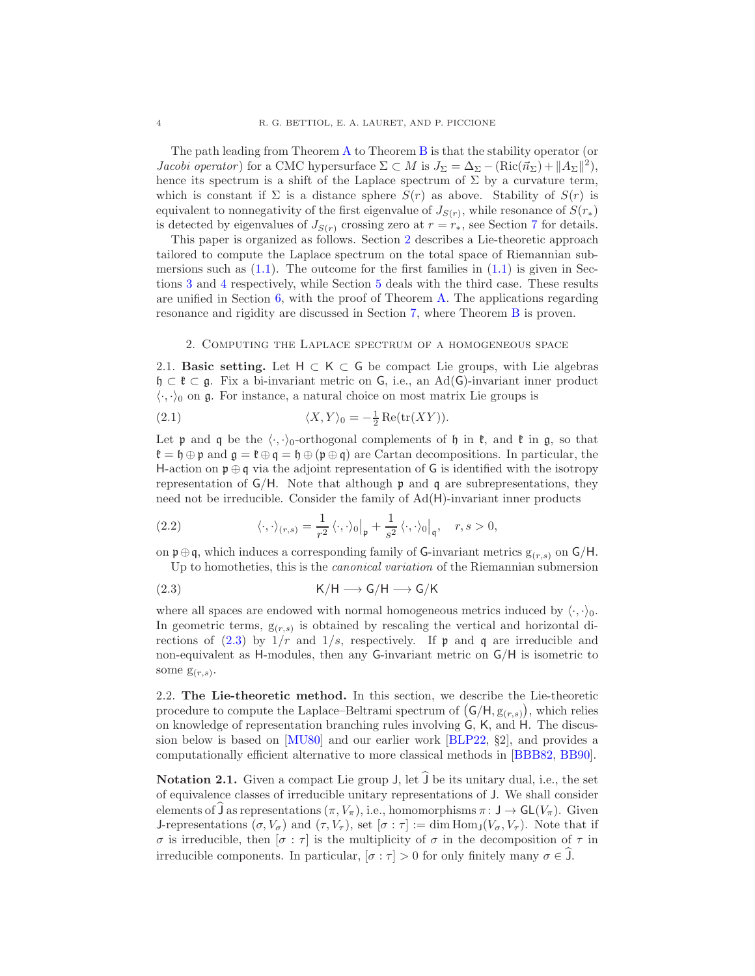The path leading from Theorem [A](#page-1-3) to Theorem [B](#page-2-0) is that the stability operator (or *Jacobi operator*) for a CMC hypersurface  $\Sigma \subset M$  is  $J_{\Sigma} = \Delta_{\Sigma} - (\text{Ric}(\vec{n}_{\Sigma}) + ||A_{\Sigma}||^2)$ , hence its spectrum is a shift of the Laplace spectrum of  $\Sigma$  by a curvature term, which is constant if  $\Sigma$  is a distance sphere  $S(r)$  as above. Stability of  $S(r)$  is equivalent to nonnegativity of the first eigenvalue of  $J_{S(r)}$ , while resonance of  $S(r_*)$ is detected by eigenvalues of  $J_{S(r)}$  crossing zero at  $r = r_*$ , see Section [7](#page-13-0) for details.

This paper is organized as follows. Section [2](#page-3-0) describes a Lie-theoretic approach tailored to compute the Laplace spectrum on the total space of Riemannian submersions such as  $(1.1)$ . The outcome for the first families in  $(1.1)$  is given in Sections [3](#page-6-0) and [4](#page-8-0) respectively, while Section [5](#page-9-0) deals with the third case. These results are unified in Section [6,](#page-11-0) with the proof of Theorem [A.](#page-1-3) The applications regarding resonance and rigidity are discussed in Section [7,](#page-13-0) where Theorem [B](#page-2-0) is proven.

### <span id="page-3-0"></span>2. Computing the Laplace spectrum of a homogeneous space

<span id="page-3-2"></span>2.1. Basic setting. Let  $H \subset K \subset G$  be compact Lie groups, with Lie algebras  $\mathfrak{h} \subset \mathfrak{k} \subset \mathfrak{g}$ . Fix a bi-invariant metric on G, i.e., an Ad(G)-invariant inner product  $\langle \cdot, \cdot \rangle_0$  on g. For instance, a natural choice on most matrix Lie groups is

(2.1) 
$$
\langle X, Y \rangle_0 = -\frac{1}{2} \operatorname{Re}(\operatorname{tr}(XY)).
$$

Let  $\mathfrak p$  and  $\mathfrak q$  be the  $\langle \cdot, \cdot \rangle_0$ -orthogonal complements of  $\mathfrak h$  in  $\mathfrak k$ , and  $\mathfrak k$  in  $\mathfrak g$ , so that  $\mathfrak{k} = \mathfrak{h} \oplus \mathfrak{p}$  and  $\mathfrak{g} = \mathfrak{k} \oplus \mathfrak{q} = \mathfrak{h} \oplus (\mathfrak{p} \oplus \mathfrak{q})$  are Cartan decompositions. In particular, the H-action on  $\mathfrak{p} \oplus \mathfrak{q}$  via the adjoint representation of G is identified with the isotropy representation of  $\mathsf{G}/\mathsf{H}$ . Note that although **p** and **q** are subrepresentations, they need not be irreducible. Consider the family of Ad(H)-invariant inner products

<span id="page-3-3"></span>(2.2) 
$$
\langle \cdot, \cdot \rangle_{(r,s)} = \frac{1}{r^2} \langle \cdot, \cdot \rangle_0 \big|_{\mathfrak{p}} + \frac{1}{s^2} \langle \cdot, \cdot \rangle_0 \big|_{\mathfrak{q}}, \quad r, s > 0,
$$

on  $\mathfrak{p} \oplus \mathfrak{q}$ , which induces a corresponding family of G-invariant metrics  $g_{(r,s)}$  on  $\mathsf{G}/\mathsf{H}$ . Up to homotheties, this is the canonical variation of the Riemannian submersion

<span id="page-3-1"></span>
$$
\mathrm{(2.3)}\qquad \qquad \mathrm{K/H}\longrightarrow \mathrm{G/H}\longrightarrow \mathrm{G/K}
$$

where all spaces are endowed with normal homogeneous metrics induced by  $\langle \cdot, \cdot \rangle_0$ . In geometric terms,  $g(r,s)$  is obtained by rescaling the vertical and horizontal directions of  $(2.3)$  by  $1/r$  and  $1/s$ , respectively. If p and q are irreducible and non-equivalent as H-modules, then any G-invariant metric on G/H is isometric to some  $g_{(r,s)}$ .

2.2. The Lie-theoretic method. In this section, we describe the Lie-theoretic procedure to compute the Laplace–Beltrami spectrum of  $(G/H, g_{(r,s)})$ , which relies on knowledge of representation branching rules involving G, K, and H. The discussion below is based on [\[MU80\]](#page-18-3) and our earlier work [\[BLP22,](#page-17-3) §2], and provides a computationally efficient alternative to more classical methods in [\[BBB82,](#page-17-1) [BB90\]](#page-17-2).

**Notation 2.1.** Given a compact Lie group  $J$ , let  $\widehat{J}$  be its unitary dual, i.e., the set of equivalence classes of irreducible unitary representations of J. We shall consider elements of J as representations  $(\pi, V_\pi)$ , i.e., homomorphisms  $\pi: J \to GL(V_\pi)$ . Given J-representations  $(\sigma, V_{\sigma})$  and  $(\tau, V_{\tau})$ , set  $[\sigma : \tau] := \dim \text{Hom}_{\mathsf{J}}(V_{\sigma}, V_{\tau})$ . Note that if σ is irreducible, then [σ : τ] is the multiplicity of σ in the decomposition of τ in irreducible components. In particular,  $[\sigma : \tau] > 0$  for only finitely many  $\sigma \in J$ .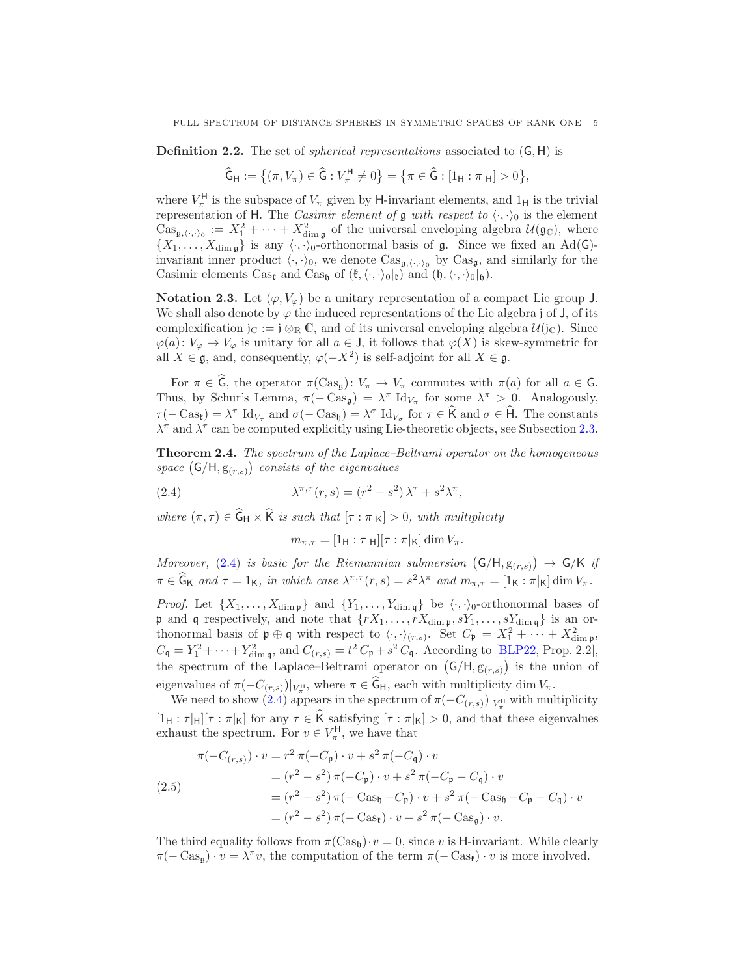**Definition 2.2.** The set of *spherical representations* associated to  $(G, H)$  is

$$
\widehat{\mathsf{G}}_{\mathsf{H}} := \big\{ (\pi, V_{\pi}) \in \widehat{\mathsf{G}} : V_{\pi}^{\mathsf{H}} \neq 0 \big\} = \big\{ \pi \in \widehat{\mathsf{G}} : [1_{\mathsf{H}} : \pi|_{\mathsf{H}}] > 0 \big\},
$$

where  $V_{\pi}^{\text{H}}$  is the subspace of  $V_{\pi}$  given by H-invariant elements, and  $1_{\text{H}}$  is the trivial representation of H. The *Casimir element of*  $\mathfrak g$  with respect to  $\langle \cdot, \cdot \rangle_0$  is the element  $\text{Cas}_{\mathfrak{g},\langle\cdot,\cdot\rangle_0}:=X_1^2+\cdots+X_{\text{dim }\mathfrak{g}}^2$  of the universal enveloping algebra  $\mathcal{U}(\mathfrak{g}_{\mathbb{C}})$ , where  $\{X_1, \ldots, X_{\dim \mathfrak{g}}\}$  is any  $\langle \cdot, \cdot \rangle_0$ -orthonormal basis of g. Since we fixed an Ad(G)invariant inner product  $\langle \cdot, \cdot \rangle_0$ , we denote  $\text{Cas}_{\mathfrak{g},\langle \cdot, \cdot \rangle_0}$  by  $\text{Cas}_{\mathfrak{g}}$ , and similarly for the Casimir elements Cas<sub>t</sub> and Cas<sub>h</sub> of  $(\mathfrak{k},\langle\cdot,\cdot\rangle_0|_{\mathfrak{k}})$  and  $(\mathfrak{h},\langle\cdot,\cdot\rangle_0|_{\mathfrak{h}})$ .

Notation 2.3. Let  $(\varphi, V_{\varphi})$  be a unitary representation of a compact Lie group J. We shall also denote by  $\varphi$  the induced representations of the Lie algebra j of J, of its complexification j<sub>C</sub> := j  $\otimes_R \mathbb{C}$ , and of its universal enveloping algebra  $\mathcal{U}(j_{\mathbb{C}})$ . Since  $\varphi(a): V_{\varphi} \to V_{\varphi}$  is unitary for all  $a \in J$ , it follows that  $\varphi(X)$  is skew-symmetric for all  $X \in \mathfrak{g}$ , and, consequently,  $\varphi(-X^2)$  is self-adjoint for all  $X \in \mathfrak{g}$ .

For  $\pi \in \widehat{G}$ , the operator  $\pi(\text{Cas}_{\mathfrak{g}}): V_{\pi} \to V_{\pi}$  commutes with  $\pi(a)$  for all  $a \in G$ . Thus, by Schur's Lemma,  $\pi(-\text{Cas}_\mathfrak{g}) = \lambda^{\pi} \text{Id}_{V_{\pi}}$  for some  $\lambda^{\pi} > 0$ . Analogously,  $\tau(-\text{Cas}_{\mathfrak{k}}) = \lambda^{\tau} \text{ Id}_{V_{\tau}} \text{ and } \sigma(-\text{Cas}_{\mathfrak{h}}) = \lambda^{\sigma} \text{ Id}_{V_{\sigma}} \text{ for } \tau \in \widehat{\mathsf{K}} \text{ and } \sigma \in \widehat{\mathsf{H}}.$  The constants  $\lambda^{\pi}$  and  $\lambda^{\tau}$  can be computed explicitly using Lie-theoretic objects, see Subsection [2.3.](#page-5-0)

<span id="page-4-2"></span>Theorem 2.4. The spectrum of the Laplace–Beltrami operator on the homogeneous space  $(G/H, g_{(r,s)})$  consists of the eigenvalues

(2.4) 
$$
\lambda^{\pi,\tau}(r,s) = (r^2 - s^2)\lambda^{\tau} + s^2\lambda^{\pi},
$$

where  $(\pi, \tau) \in \widehat{G}_H \times \widehat{K}$  is such that  $[\tau : \pi|_K] > 0$ , with multiplicity

<span id="page-4-0"></span>
$$
m_{\pi,\tau} = [1_{\mathsf{H}} : \tau|_{\mathsf{H}}] [\tau : \pi|_{\mathsf{K}}] \dim V_{\pi}.
$$

Moreover, [\(2.4\)](#page-4-0) is basic for the Riemannian submersion  $(G/H, g_{(r,s)}) \rightarrow G/K$  if  $\pi \in \widehat{G}_K$  and  $\tau = 1_K$ , in which case  $\lambda^{\pi, \tau}(r, s) = s^2 \lambda^{\pi}$  and  $m_{\pi, \tau} = [1_K : \pi |_{K}] \dim V_{\pi}$ .

*Proof.* Let  $\{X_1, \ldots, X_{\dim \mathfrak{p}}\}$  and  $\{Y_1, \ldots, Y_{\dim \mathfrak{q}}\}$  be  $\langle \cdot, \cdot \rangle_0$ -orthonormal bases of **p** and **q** respectively, and note that  $\{rX_1, \ldots, rX_{\dim \mathfrak{p}}, sY_1, \ldots, sY_{\dim \mathfrak{q}}\}$  is an orthonormal basis of  $\mathfrak{p} \oplus \mathfrak{q}$  with respect to  $\langle \cdot, \cdot \rangle_{(r,s)}$ . Set  $C_{\mathfrak{p}} = X_1^2 + \cdots + X_{\dim \mathfrak{p}}^2$ ,  $C_{\mathfrak{q}} = Y_1^2 + \cdots + Y_{\dim \mathfrak{q}}^2$ , and  $C_{(r,s)} = t^2 C_{\mathfrak{p}} + s^2 C_{\mathfrak{q}}$ . According to [\[BLP22,](#page-17-3) Prop. 2.2], the spectrum of the Laplace–Beltrami operator on  $(G/H, g_{(r,s)})$  is the union of eigenvalues of  $\pi(-C_{(r,s)})|_{V^{\text{H}}_{\pi}}$ , where  $\pi \in \mathsf{G}_{\mathsf{H}}$ , each with multiplicity dim  $V_{\pi}$ .

We need to show [\(2.4\)](#page-4-0) appears in the spectrum of  $\pi(-C_{(r,s)})|_{V^{\text{H}}_{\pi}}$  with multiplicity  $[1_H : \tau_{|H}|[\tau : \pi_{|K}]$  for any  $\tau \in \widehat{K}$  satisfying  $[\tau : \pi_{|K}] > 0$ , and that these eigenvalues exhaust the spectrum. For  $v \in V_{\pi}^{\mathsf{H}}$ , we have that

<span id="page-4-1"></span>
$$
\pi(-C_{(r,s)}) \cdot v = r^2 \pi(-C_{\mathfrak{p}}) \cdot v + s^2 \pi(-C_{\mathfrak{q}}) \cdot v
$$
  
=  $(r^2 - s^2) \pi(-C_{\mathfrak{p}}) \cdot v + s^2 \pi(-C_{\mathfrak{p}} - C_{\mathfrak{q}}) \cdot v$   
=  $(r^2 - s^2) \pi(-\text{Cas}_{\mathfrak{h}} - C_{\mathfrak{p}}) \cdot v + s^2 \pi(-\text{Cas}_{\mathfrak{h}} - C_{\mathfrak{p}} - C_{\mathfrak{q}}) \cdot v$   
=  $(r^2 - s^2) \pi(-\text{Cas}_{\mathfrak{k}}) \cdot v + s^2 \pi(-\text{Cas}_{\mathfrak{g}}) \cdot v.$ 

The third equality follows from  $\pi$ (Cas<sub>h</sub>)· $v = 0$ , since v is H-invariant. While clearly  $\pi(-\text{Cas}_\mathfrak{g})\cdot v=\lambda^{\pi}v$ , the computation of the term  $\pi(-\text{Cas}_\mathfrak{k})\cdot v$  is more involved.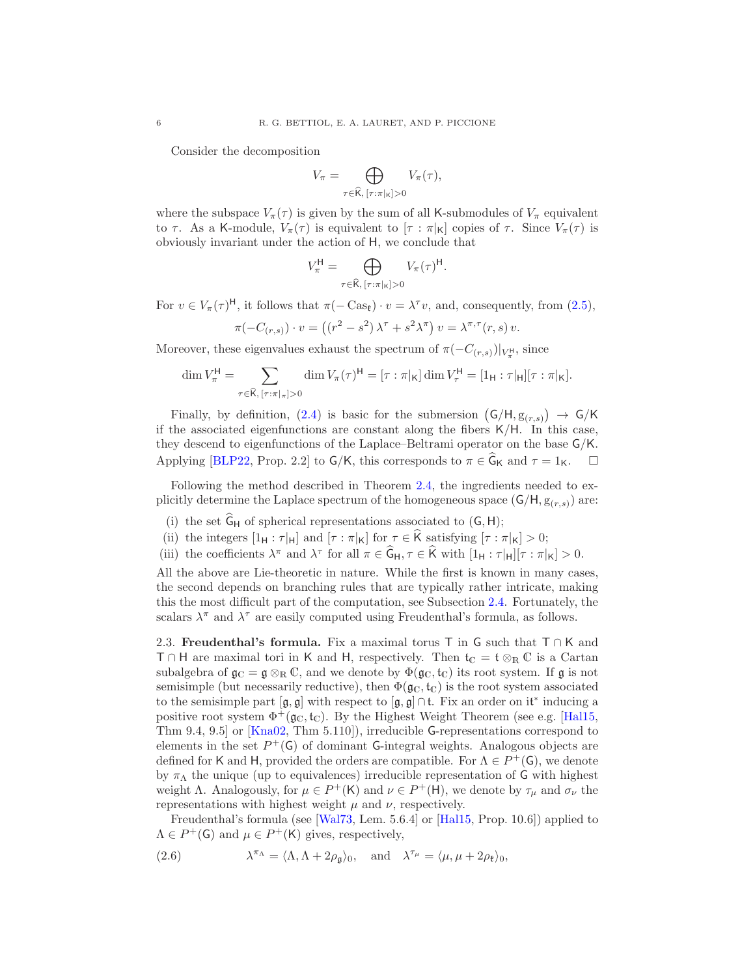Consider the decomposition

$$
V_{\pi} = \bigoplus_{\tau \in \widehat{\mathsf{K}}, \ [\tau : \pi|_{\mathsf{K}}] > 0} V_{\pi}(\tau),
$$

where the subspace  $V_{\pi}(\tau)$  is given by the sum of all K-submodules of  $V_{\pi}$  equivalent to  $\tau$ . As a K-module,  $V_{\pi}(\tau)$  is equivalent to  $[\tau : \pi|_{\mathsf{K}}]$  copies of  $\tau$ . Since  $V_{\pi}(\tau)$  is obviously invariant under the action of H, we conclude that

$$
V_{\pi}^{\mathsf{H}} = \bigoplus_{\tau \in \widehat{\mathsf{K}}, \ [\tau : \pi|_{\mathsf{K}}] > 0} V_{\pi}(\tau)^{\mathsf{H}}.
$$

For  $v \in V_{\pi}(\tau)^{\mathsf{H}}$ , it follows that  $\pi(-\text{Cas}_{\mathfrak{k}}) \cdot v = \lambda^{\tau}v$ , and, consequently, from [\(2.5\)](#page-4-1),

$$
\pi(-C_{(r,s)}) \cdot v = \left( (r^2 - s^2) \lambda^{\tau} + s^2 \lambda^{\pi} \right) v = \lambda^{\pi, \tau}(r, s) v.
$$

Moreover, these eigenvalues exhaust the spectrum of  $\pi(-C_{(r,s)})|_{V_r^{\mathsf{H}}},$  since

$$
\dim V_{\pi}^{\mathsf{H}} = \sum_{\tau \in \widehat{\mathsf{K}}, \ [\tau : \pi|_{\pi}] > 0} \dim V_{\pi}(\tau)^{\mathsf{H}} = [\tau : \pi|_{\mathsf{K}}] \dim V_{\tau}^{\mathsf{H}} = [1_{\mathsf{H}} : \tau|_{\mathsf{H}}][\tau : \pi|_{\mathsf{K}}].
$$

Finally, by definition, [\(2.4\)](#page-4-0) is basic for the submersion  $(G/H, g_{(r,s)}) \rightarrow G/K$ if the associated eigenfunctions are constant along the fibers K/H. In this case, they descend to eigenfunctions of the Laplace–Beltrami operator on the base G/K. Applying [\[BLP22,](#page-17-3) Prop. 2.2] to  $G/K$ , this corresponds to  $\pi \in \widehat{G}_K$  and  $\tau = 1_K$ .

Following the method described in Theorem [2.4,](#page-4-2) the ingredients needed to explicitly determine the Laplace spectrum of the homogeneous space  $(G/H, g_{(r,s)})$  are:

- (i) the set  $G_H$  of spherical representations associated to  $(G, H)$ ;
- (ii) the integers  $[1_H : \tau|_H]$  and  $[\tau : \pi|_K]$  for  $\tau \in K$  satisfying  $[\tau : \pi|_K] > 0$ ;
- (iii) the coefficients  $\lambda^{\pi}$  and  $\lambda^{\tau}$  for all  $\pi \in \widehat{G}_H, \tau \in \widehat{K}$  with  $[1_H : \tau|_H][\tau : \pi|_K] > 0$ .

All the above are Lie-theoretic in nature. While the first is known in many cases, the second depends on branching rules that are typically rather intricate, making this the most difficult part of the computation, see Subsection [2.4.](#page-6-1) Fortunately, the scalars  $\lambda^{\pi}$  and  $\lambda^{\tau}$  are easily computed using Freudenthal's formula, as follows.

<span id="page-5-0"></span>2.3. Freudenthal's formula. Fix a maximal torus T in G such that  $T \cap K$  and  $T \cap H$  are maximal tori in K and H, respectively. Then  $t_{\mathbb{C}} = t \otimes_{\mathbb{R}} \mathbb{C}$  is a Cartan subalgebra of  $\mathfrak{g}_\mathbb{C} = \mathfrak{g} \otimes_\mathbb{R} \mathbb{C}$ , and we denote by  $\Phi(\mathfrak{g}_\mathbb{C}, \mathfrak{t}_\mathbb{C})$  its root system. If  $\mathfrak{g}$  is not semisimple (but necessarily reductive), then  $\Phi(\mathfrak{g}_{\mathbb{C}}, \mathfrak{t}_{\mathbb{C}})$  is the root system associated to the semisimple part  $[\mathfrak{g}, \mathfrak{g}]$  with respect to  $[\mathfrak{g}, \mathfrak{g}] \cap \mathfrak{t}$ . Fix an order on it<sup>\*</sup> inducing a positive root system  $\Phi^+(\mathfrak{g}_\mathbb{C},\mathfrak{t}_\mathbb{C})$ . By the Highest Weight Theorem (see e.g. [\[Hal15,](#page-18-7) Thm 9.4, 9.5] or [\[Kna02,](#page-18-8) Thm 5.110]), irreducible G-representations correspond to elements in the set  $P^+(G)$  of dominant G-integral weights. Analogous objects are defined for K and H, provided the orders are compatible. For  $\Lambda \in P^+(\mathsf{G})$ , we denote by  $\pi_\Lambda$  the unique (up to equivalences) irreducible representation of G with highest weight  $\Lambda$ . Analogously, for  $\mu \in P^+(K)$  and  $\nu \in P^+(H)$ , we denote by  $\tau_{\mu}$  and  $\sigma_{\nu}$  the representations with highest weight  $\mu$  and  $\nu$ , respectively.

Freudenthal's formula (see [\[Wal73,](#page-18-9) Lem. 5.6.4] or [\[Hal15,](#page-18-7) Prop. 10.6]) applied to  $\Lambda \in P^+(\mathsf{G})$  and  $\mu \in P^+(\mathsf{K})$  gives, respectively,

<span id="page-5-1"></span>(2.6) 
$$
\lambda^{\pi_{\Lambda}} = \langle \Lambda, \Lambda + 2\rho_{\mathfrak{g}} \rangle_0, \text{ and } \lambda^{\tau_{\mu}} = \langle \mu, \mu + 2\rho_{\mathfrak{k}} \rangle_0,
$$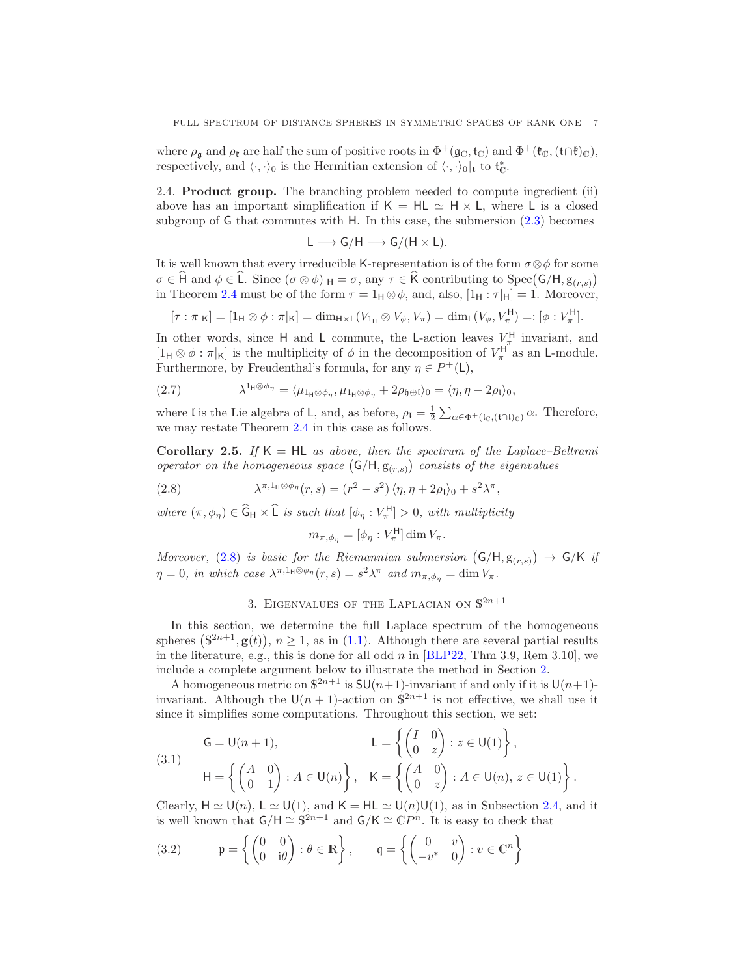where  $\rho_{\mathfrak{g}}$  and  $\rho_{\mathfrak{k}}$  are half the sum of positive roots in  $\Phi^+(\mathfrak{g}_\mathbb{C}, \mathfrak{t}_\mathbb{C})$  and  $\Phi^+(\mathfrak{k}_\mathbb{C}, (\mathfrak{t}\cap\mathfrak{k})_\mathbb{C}),$ respectively, and  $\langle \cdot, \cdot \rangle_0$  is the Hermitian extension of  $\langle \cdot, \cdot \rangle_0|_t$  to  $\mathfrak{t}_{\mathbb{C}}^*$ .

<span id="page-6-1"></span>2.4. Product group. The branching problem needed to compute ingredient (ii) above has an important simplification if  $K = HL \simeq H \times L$ , where L is a closed subgroup of G that commutes with H. In this case, the submersion [\(2.3\)](#page-3-1) becomes

$$
L\longrightarrow G/H\longrightarrow G/(H\times L).
$$

It is well known that every irreducible K-representation is of the form  $\sigma \otimes \phi$  for some  $\sigma \in \widehat{H}$  and  $\phi \in \widehat{L}$ . Since  $(\sigma \otimes \phi)|_H = \sigma$ , any  $\tau \in \widehat{K}$  contributing to Spec $(G/H, g_{(r,s)})$ in Theorem [2.4](#page-4-2) must be of the form  $\tau = 1_H \otimes \phi$ , and, also,  $[1_H : \tau|_H] = 1$ . Moreover,

$$
[\tau : \pi|_{\mathsf{K}}] = [\mathbf{1}_{\mathsf{H}} \otimes \phi : \pi|_{\mathsf{K}}] = \dim_{\mathsf{H} \times \mathsf{L}}(V_{\mathbf{1}_{\mathsf{H}}} \otimes V_{\phi}, V_{\pi}) = \dim_{\mathsf{L}}(V_{\phi}, V_{\pi}^{\mathsf{H}}) =: [\phi : V_{\pi}^{\mathsf{H}}].
$$

In other words, since H and L commute, the L-action leaves  $V_{\pi}^{\text{H}}$  invariant, and IH Super words, since T and L commute, the L-action leaves  $V_{\pi}$  invariant, and [1H ⊗  $\phi$  : π|k] is the multiplicity of  $\phi$  in the decomposition of  $V_{\pi}^{\text{H}}$  as an L-module. Furthermore, by Freudenthal's formula, for any  $\eta \in P^+(\mathsf{L})$ ,

<span id="page-6-5"></span>(2.7) 
$$
\lambda^{1_{\mathsf{H}}\otimes\phi_{\eta}} = \langle \mu_{1_{\mathsf{H}}\otimes\phi_{\eta}}, \mu_{1_{\mathsf{H}}\otimes\phi_{\eta}} + 2\rho_{\mathfrak{h}\oplus\mathfrak{l}} \rangle_0 = \langle \eta, \eta + 2\rho_{\mathfrak{l}} \rangle_0,
$$

where l is the Lie algebra of L, and, as before,  $\rho_I = \frac{1}{2} \sum_{\alpha \in \Phi^+(I_C, (t \cap I_C))} \alpha$ . Therefore, we may restate Theorem [2.4](#page-4-2) in this case as follows.

<span id="page-6-4"></span>Corollary 2.5. If  $K = HL$  as above, then the spectrum of the Laplace–Beltrami operator on the homogeneous space  $(G/H, g_{(r,s)})$  consists of the eigenvalues

,

(2.8) 
$$
\lambda^{\pi,1_{\mathsf{H}}\otimes\phi_{\eta}}(r,s)=(r^2-s^2)\langle\eta,\eta+2\rho_1\rangle_0+s^2\lambda^{\pi}
$$

where  $(\pi, \phi_{\eta}) \in \widehat{G}_H \times \widehat{L}$  is such that  $[\phi_{\eta} : V_{\pi}^H] > 0$ , with multiplicity

<span id="page-6-2"></span>
$$
m_{\pi,\phi_{\eta}} = [\phi_{\eta} : V_{\pi}^{\mathsf{H}}] \dim V_{\pi}.
$$

Moreover, [\(2.8\)](#page-6-2) is basic for the Riemannian submersion  $(G/H, g_{(r,s)}) \rightarrow G/K$  if  $\eta = 0$ , in which case  $\lambda^{\pi,1_H \otimes \phi_\eta}(r,s) = s^2 \lambda^\pi$  and  $m_{\pi,\phi_\eta} = \dim V_\pi$ .

# 3. EIGENVALUES OF THE LAPLACIAN ON  $\mathbb{S}^{2n+1}$

<span id="page-6-0"></span>In this section, we determine the full Laplace spectrum of the homogeneous spheres  $(\mathbb{S}^{2n+1}, \mathbf{g}(t)), n \ge 1$ , as in [\(1.1\)](#page-0-0). Although there are several partial results in the literature, e.g., this is done for all odd  $n$  in [\[BLP22,](#page-17-3) Thm 3.9, Rem 3.10], we include a complete argument below to illustrate the method in Section [2.](#page-3-0)

A homogeneous metric on  $\mathbb{S}^{2n+1}$  is  $\mathsf{SU}(n+1)$ -invariant if and only if it is  $\mathsf{U}(n+1)$ invariant. Although the  $\mathsf{U}(n+1)$ -action on  $\mathbb{S}^{2n+1}$  is not effective, we shall use it since it simplifies some computations. Throughout this section, we set:

<span id="page-6-3"></span>(3.1)  
\n
$$
\mathsf{G} = \mathsf{U}(n+1), \qquad \qquad \mathsf{L} = \left\{ \begin{pmatrix} I & 0 \\ 0 & z \end{pmatrix} : z \in \mathsf{U}(1) \right\},
$$
\n
$$
\mathsf{H} = \left\{ \begin{pmatrix} A & 0 \\ 0 & 1 \end{pmatrix} : A \in \mathsf{U}(n) \right\}, \qquad \mathsf{K} = \left\{ \begin{pmatrix} A & 0 \\ 0 & z \end{pmatrix} : A \in \mathsf{U}(n), z \in \mathsf{U}(1) \right\}.
$$

Clearly,  $H \simeq U(n)$ ,  $L \simeq U(1)$ , and  $K = HL \simeq U(n)U(1)$ , as in Subsection [2.4,](#page-6-1) and it is well known that  $\mathsf{G}/\mathsf{H} \cong \mathbb{S}^{2n+1}$  and  $\mathsf{G}/\mathsf{K} \cong \mathbb{C}P^n$ . It is easy to check that

(3.2) 
$$
\mathfrak{p} = \left\{ \begin{pmatrix} 0 & 0 \\ 0 & i\theta \end{pmatrix} : \theta \in \mathbb{R} \right\}, \qquad \mathfrak{q} = \left\{ \begin{pmatrix} 0 & v \\ -v^* & 0 \end{pmatrix} : v \in \mathbb{C}^n \right\}
$$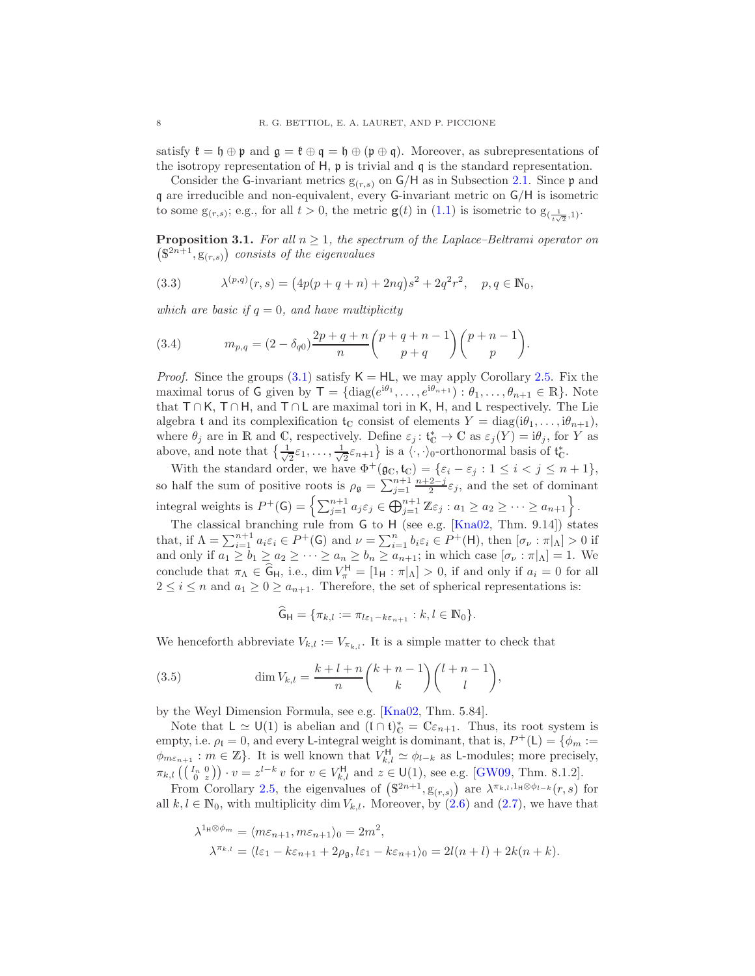satisfy  $\mathfrak{k} = \mathfrak{h} \oplus \mathfrak{p}$  and  $\mathfrak{g} = \mathfrak{k} \oplus \mathfrak{q} = \mathfrak{h} \oplus (\mathfrak{p} \oplus \mathfrak{q})$ . Moreover, as subrepresentations of the isotropy representation of H, p is trivial and q is the standard representation.

Consider the G-invariant metrics  $g(r,s)$  on  $G/H$  as in Subsection [2.1.](#page-3-2) Since  $\mathfrak p$  and q are irreducible and non-equivalent, every G-invariant metric on G/H is isometric to some  $g_{(r,s)}$ ; e.g., for all  $t > 0$ , the metric  $g(t)$  in  $(1.1)$  is isometric to  $g_{(\frac{1}{t\sqrt{2}},1)}$ .

<span id="page-7-3"></span>**Proposition 3.1.** For all  $n \geq 1$ , the spectrum of the Laplace–Beltrami operator on  $(\mathbb{S}^{2n+1},\mathbb{S}_{(r,s)})$  consists of the eigenvalues

<span id="page-7-0"></span>(3.3) 
$$
\lambda^{(p,q)}(r,s) = (4p(p+q+n)+2nq)s^2 + 2q^2r^2, \quad p,q \in \mathbb{N}_0,
$$

which are basic if  $q = 0$ , and have multiplicity

<span id="page-7-1"></span>(3.4) 
$$
m_{p,q} = (2 - \delta_{q0}) \frac{2p+q+n}{n} {p+q+n-1 \choose p+q} {p+n-1 \choose p}.
$$

*Proof.* Since the groups [\(3.1\)](#page-6-3) satisfy  $K = HL$ , we may apply Corollary [2.5.](#page-6-4) Fix the maximal torus of G given by  $\mathsf{T} = \{ \text{diag}(e^{\mathrm{i}\theta_1}, \dots, e^{\mathrm{i}\theta_{n+1}}) : \theta_1, \dots, \theta_{n+1} \in \mathbb{R} \}.$  Note that T ∩ K, T ∩ H, and T ∩ L are maximal tori in K, H, and L respectively. The Lie algebra t and its complexification  $t_{\mathbb{C}}$  consist of elements  $Y = \text{diag}(i\theta_1, \ldots, i\theta_{n+1}),$ where  $\theta_j$  are in R and C, respectively. Define  $\varepsilon_j: \mathfrak{t}_{\mathbb{C}}^* \to \mathbb{C}$  as  $\varepsilon_j(Y) = i\theta_j$ , for Y as above, and note that  $\frac{1}{\sqrt{2}}$  $\frac{1}{2}\varepsilon_1,\ldots,\frac{1}{\sqrt{2}}$  $\frac{1}{2}\varepsilon_{n+1}$  is a  $\langle \cdot, \cdot \rangle_0$ -orthonormal basis of  $\mathfrak{t}_0^*$ .

With the standard order, we have  $\Phi^+(\mathfrak{g}_\mathbb{C}, \mathfrak{t}_\mathbb{C}) = \{\varepsilon_i - \varepsilon_j : 1 \leq i < j \leq n+1\},\$ so half the sum of positive roots is  $\rho_{\mathfrak{g}} = \sum_{j=1}^{n+1} \frac{n+2-j}{2} \varepsilon_j$ , and the set of dominant integral weights is  $P^+(\mathsf{G}) = \left\{ \sum_{j=1}^{n+1} a_j \varepsilon_j \in \bigoplus_{j=1}^{n+1} \mathbb{Z} \varepsilon_j : a_1 \geq a_2 \geq \cdots \geq a_{n+1} \right\}.$ 

The classical branching rule from G to H (see e.g. [\[Kna02,](#page-18-8) Thm. 9.14]) states that, if  $\Lambda = \sum_{i=1}^{n+1} a_i \varepsilon_i \in P^+(\mathsf{G})$  and  $\nu = \sum_{i=1}^n b_i \varepsilon_i \in P^+(\mathsf{H})$ , then  $[\sigma_\nu : \pi|_{\Lambda}] > 0$  if and only if  $a_1 \ge b_1 \ge a_2 \ge \cdots \ge a_n \ge b_n \ge a_{n+1}$ ; in which case  $[\sigma_\nu : \pi|_{\Lambda}] = 1$ . We conclude that  $\pi_{\Lambda} \in \widehat{G}_{H}$ , i.e.,  $\dim V_{\pi}^{H} = [1_{H} : \pi|_{\Lambda}] > 0$ , if and only if  $a_{i} = 0$  for all  $2 \leq i \leq n$  and  $a_1 \geq 0 \geq a_{n+1}$ . Therefore, the set of spherical representations is:

<span id="page-7-2"></span>
$$
\widehat{\mathsf{G}}_{\mathsf{H}} = \{ \pi_{k,l} := \pi_{l\varepsilon_1 - k\varepsilon_{n+1}} : k, l \in \mathbb{N}_0 \}.
$$

We henceforth abbreviate  $V_{k,l} := V_{\pi_{k,l}}$ . It is a simple matter to check that

(3.5) 
$$
\dim V_{k,l} = \frac{k+l+n}{n} {k+n-1 \choose k} {l+n-1 \choose l},
$$

by the Weyl Dimension Formula, see e.g. [\[Kna02,](#page-18-8) Thm. 5.84].

Note that  $L \simeq U(1)$  is abelian and  $(I \cap \mathfrak{t})^*_{\mathbb{C}} = \mathbb{C} \varepsilon_{n+1}$ . Thus, its root system is empty, i.e.  $\rho_l = 0$ , and every L-integral weight is dominant, that is,  $P^+(L) = \{ \phi_m :=$  $\phi_{m\epsilon_{n+1}} : m \in \mathbb{Z}$ . It is well known that  $V_{k,l}^{\mathsf{H}} \simeq \phi_{l-k}$  as L-modules; more precisely,  $\pi_{k,l}\left(\left(\begin{smallmatrix} I_n & 0 \\ 0 & z \end{smallmatrix}\right)\right) \cdot v = z^{l-k} v \text{ for } v \in V_{k,l}^{\mathsf{H}} \text{ and } z \in \mathsf{U}(1), \text{ see e.g. [GW09, Thm. 8.1.2].}$  $\pi_{k,l}\left(\left(\begin{smallmatrix} I_n & 0 \\ 0 & z \end{smallmatrix}\right)\right) \cdot v = z^{l-k} v \text{ for } v \in V_{k,l}^{\mathsf{H}} \text{ and } z \in \mathsf{U}(1), \text{ see e.g. [GW09, Thm. 8.1.2].}$  $\pi_{k,l}\left(\left(\begin{smallmatrix} I_n & 0 \\ 0 & z \end{smallmatrix}\right)\right) \cdot v = z^{l-k} v \text{ for } v \in V_{k,l}^{\mathsf{H}} \text{ and } z \in \mathsf{U}(1), \text{ see e.g. [GW09, Thm. 8.1.2].}$ 

From Corollary [2.5,](#page-6-4) the eigenvalues of  $(\mathbb{S}^{2n+1}, \mathbb{S}_{(r,s)})$  are  $\lambda^{\pi_{k,l},1_H \otimes \phi_{l-k}}(r,s)$  for all  $k, l \in \mathbb{N}_0$ , with multiplicity dim  $V_{k,l}$ . Moreover, by  $(2.6)$  and  $(2.7)$ , we have that

$$
\lambda^{1_{\mathsf{H}}\otimes\phi_m} = \langle m\varepsilon_{n+1}, m\varepsilon_{n+1}\rangle_0 = 2m^2,
$$
  

$$
\lambda^{\pi_{k,l}} = \langle l\varepsilon_1 - k\varepsilon_{n+1} + 2\rho_{\mathfrak{g}}, l\varepsilon_1 - k\varepsilon_{n+1}\rangle_0 = 2l(n+l) + 2k(n+k).
$$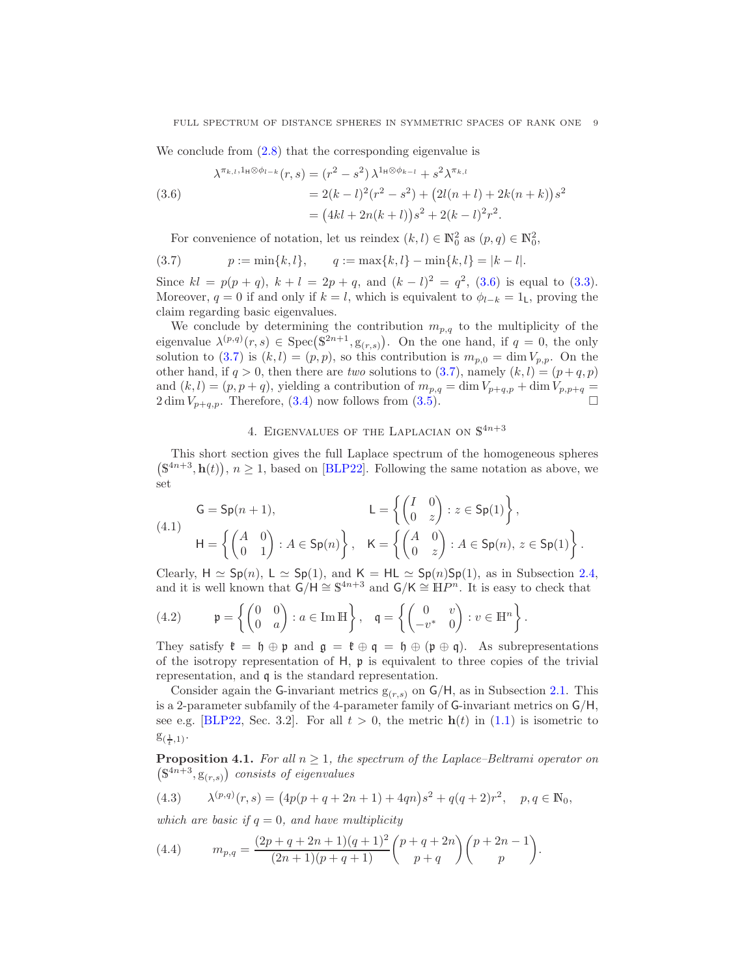We conclude from  $(2.8)$  that the corresponding eigenvalue is

<span id="page-8-1"></span>
$$
\lambda^{\pi_{k,l},1_{\mathsf{H}}\otimes\phi_{l-k}}(r,s) = (r^2 - s^2) \lambda^{1_{\mathsf{H}}\otimes\phi_{k-l}} + s^2 \lambda^{\pi_{k,l}}
$$
  
(3.6)  

$$
= 2(k-l)^2(r^2 - s^2) + (2l(n+l) + 2k(n+k))s^2
$$

$$
= (4kl + 2n(k+l))s^2 + 2(k-l)^2r^2.
$$

<span id="page-8-2"></span>For convenience of notation, let us reindex  $(k, l) \in \mathbb{N}_0^2$  as  $(p, q) \in \mathbb{N}_0^2$ ,

(3.7) 
$$
p := \min\{k, l\}, \qquad q := \max\{k, l\} - \min\{k, l\} = |k - l|.
$$

Since  $kl = p(p+q)$ ,  $k+l = 2p+q$ , and  $(k-l)^2 = q^2$ , [\(3.6\)](#page-8-1) is equal to [\(3.3\)](#page-7-0). Moreover,  $q = 0$  if and only if  $k = l$ , which is equivalent to  $\phi_{l-k} = 1$ <sub>L</sub>, proving the claim regarding basic eigenvalues.

We conclude by determining the contribution  $m_{p,q}$  to the multiplicity of the eigenvalue  $\lambda^{(p,q)}(r,s) \in \text{Spec}(\mathbb{S}^{2n+1},\mathbb{S}_{(r,s)})$ . On the one hand, if  $q=0$ , the only solution to [\(3.7\)](#page-8-2) is  $(k, l) = (p, p)$ , so this contribution is  $m_{p,0} = \dim V_{p,p}$ . On the other hand, if  $q > 0$ , then there are two solutions to [\(3.7\)](#page-8-2), namely  $(k, l) = (p + q, p)$ and  $(k, l) = (p, p + q)$ , yielding a contribution of  $m_{p,q} = \dim V_{p+q,p} + \dim V_{p,p+q} =$  $2 \dim V_{p+q,p}$ . Therefore, [\(3.4\)](#page-7-1) now follows from [\(3.5\)](#page-7-2).

# 4. EIGENVALUES OF THE LAPLACIAN ON  $\mathbb{S}^{4n+3}$

<span id="page-8-0"></span>This short section gives the full Laplace spectrum of the homogeneous spheres  $(\mathbb{S}^{4n+3}, \mathbf{h}(t)), n \ge 1$ , based on [\[BLP22\]](#page-17-3). Following the same notation as above, we set

<span id="page-8-4"></span>(4.1) 
$$
G = Sp(n + 1),
$$

$$
L = \left\{ \begin{pmatrix} I & 0 \\ 0 & z \end{pmatrix} : z \in Sp(1) \right\},
$$

$$
H = \left\{ \begin{pmatrix} A & 0 \\ 0 & 1 \end{pmatrix} : A \in Sp(n) \right\}, \quad K = \left\{ \begin{pmatrix} A & 0 \\ 0 & z \end{pmatrix} : A \in Sp(n), z \in Sp(1) \right\}.
$$

Clearly,  $H \simeq Sp(n)$ ,  $L \simeq Sp(1)$ , and  $K = HL \simeq Sp(n)Sp(1)$ , as in Subsection [2.4,](#page-6-1) and it is well known that  $\mathsf{G}/\mathsf{H} \cong \mathbb{S}^{4n+3}$  and  $\mathsf{G}/\mathsf{K} \cong \mathbb{H}P^n$ . It is easy to check that

(4.2) 
$$
\mathfrak{p} = \left\{ \begin{pmatrix} 0 & 0 \\ 0 & a \end{pmatrix} : a \in \text{Im }\mathbb{H} \right\}, \quad \mathfrak{q} = \left\{ \begin{pmatrix} 0 & v \\ -v^* & 0 \end{pmatrix} : v \in \mathbb{H}^n \right\}.
$$

They satisfy  $\mathfrak{k} = \mathfrak{h} \oplus \mathfrak{p}$  and  $\mathfrak{g} = \mathfrak{k} \oplus \mathfrak{q} = \mathfrak{h} \oplus (\mathfrak{p} \oplus \mathfrak{q})$ . As subrepresentations of the isotropy representation of  $H$ ,  $\mathfrak p$  is equivalent to three copies of the trivial representation, and q is the standard representation.

Consider again the G-invariant metrics  $g(r,s)$  on  $G/H$ , as in Subsection [2.1.](#page-3-2) This is a 2-parameter subfamily of the 4-parameter family of G-invariant metrics on G/H, see e.g. [\[BLP22,](#page-17-3) Sec. 3.2]. For all  $t > 0$ , the metric  $h(t)$  in [\(1.1\)](#page-0-0) is isometric to  $g_{(\frac{1}{t},1)}$ .

<span id="page-8-5"></span>**Proposition 4.1.** For all  $n \geq 1$ , the spectrum of the Laplace–Beltrami operator on  $(\mathbb{S}^{4n+3},\mathbf{g}_{(r,s)})$  consists of eigenvalues

(4.3) 
$$
\lambda^{(p,q)}(r,s) = (4p(p+q+2n+1)+4qn)s^2 + q(q+2)r^2, \quad p,q \in \mathbb{N}_0,
$$

which are basic if  $q = 0$ , and have multiplicity

<span id="page-8-3"></span>(4.4) 
$$
m_{p,q} = \frac{(2p+q+2n+1)(q+1)^2}{(2n+1)(p+q+1)} {p+q+2n \choose p+q} {p+2n-1 \choose p}.
$$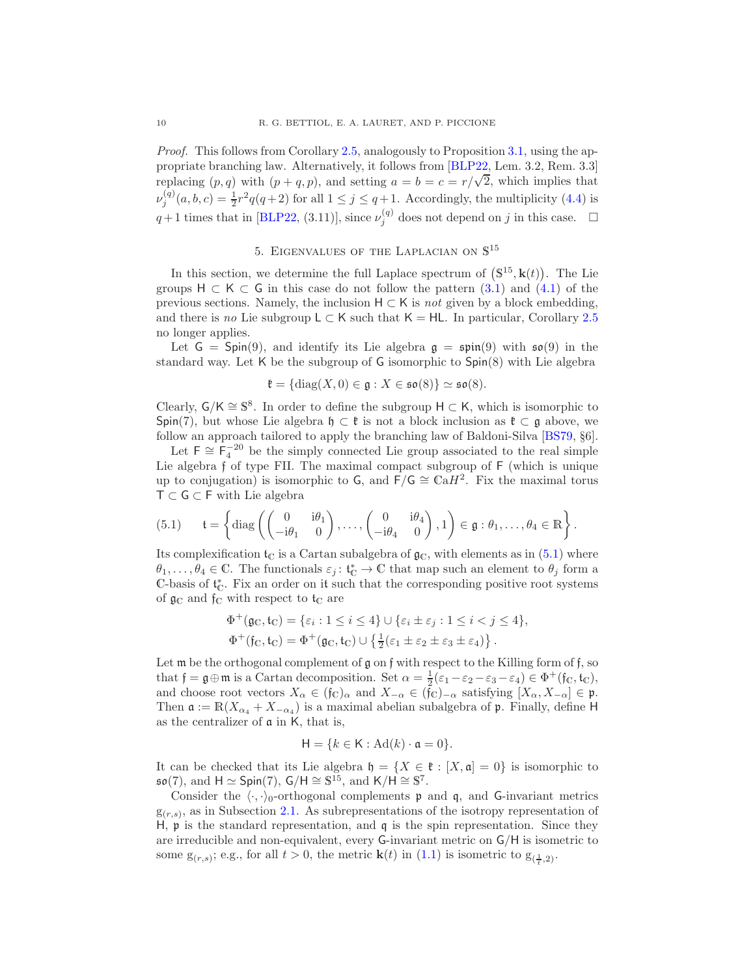Proof. This follows from Corollary [2.5,](#page-6-4) analogously to Proposition [3.1,](#page-7-3) using the appropriate branching law. Alternatively, it follows from [\[BLP22,](#page-17-3) Lem. 3.2, Rem. 3.3] replacing  $(p, q)$  with  $(p + q, p)$ , and setting  $a = b = c = r/\sqrt{2}$ , which implies that  $\nu_j^{(q)}(a, b, c) = \frac{1}{2}r^2q(q+2)$  for all  $1 \le j \le q+1$ . Accordingly, the multiplicity [\(4.4\)](#page-8-3) is  $q+1$  times that in [\[BLP22,](#page-17-3) (3.11)], since  $\nu_j^{(q)}$  does not depend on j in this case.  $\Box$ 

# 5. EIGENVALUES OF THE LAPLACIAN ON  $\mathbb{S}^{15}$

<span id="page-9-0"></span>In this section, we determine the full Laplace spectrum of  $(S^{15}, k(t))$ . The Lie groups  $H \subset K \subset G$  in this case do not follow the pattern [\(3.1\)](#page-6-3) and [\(4.1\)](#page-8-4) of the previous sections. Namely, the inclusion  $H \subset K$  is *not* given by a block embedding, and there is no Lie subgroup  $L \subset K$  such that  $K = HL$ . In particular, Corollary [2.5](#page-6-4) no longer applies.

Let  $G = Spin(9)$ , and identify its Lie algebra  $g = spin(9)$  with  $\mathfrak{so}(9)$  in the standard way. Let K be the subgroup of G isomorphic to Spin(8) with Lie algebra

$$
\mathfrak{k}=\{\mathrm{diag}(X,0)\in\mathfrak{g}:X\in\mathfrak{so}(8)\}\simeq\mathfrak{so}(8).
$$

Clearly,  $G/K \cong \mathbb{S}^8$ . In order to define the subgroup  $H \subset K$ , which is isomorphic to Spin(7), but whose Lie algebra  $\mathfrak{h} \subset \mathfrak{k}$  is not a block inclusion as  $\mathfrak{k} \subset \mathfrak{g}$  above, we follow an approach tailored to apply the branching law of Baldoni-Silva [\[BS79,](#page-18-11) §6].

Let  $\mathsf{F} \cong \mathsf{F}_4^{-20}$  be the simply connected Lie group associated to the real simple Lie algebra f of type FII. The maximal compact subgroup of F (which is unique up to conjugation) is isomorphic to  $\mathsf{G}$ , and  $\mathsf{F}/\mathsf{G} \cong \mathbb{C} \mathsf{a} H^2$ . Fix the maximal torus T ⊂ G ⊂ F with Lie algebra

<span id="page-9-1"></span>(5.1) 
$$
\mathfrak{t} = \left\{ \mathrm{diag}\left( \begin{pmatrix} 0 & i\theta_1 \\ -i\theta_1 & 0 \end{pmatrix}, \ldots, \begin{pmatrix} 0 & i\theta_4 \\ -i\theta_4 & 0 \end{pmatrix}, 1 \right) \in \mathfrak{g} : \theta_1, \ldots, \theta_4 \in \mathbb{R} \right\}.
$$

Its complexification  $t_C$  is a Cartan subalgebra of  $\mathfrak{g}_C$ , with elements as in [\(5.1\)](#page-9-1) where  $\theta_1,\ldots,\theta_4\in\mathbb{C}$ . The functionals  $\varepsilon_j\colon \mathfrak{t}_{\mathbb{C}}^*\to\mathbb{C}$  that map such an element to  $\theta_j$  form a  $\mathbb{C}$ -basis of  $\mathfrak{t}_{\mathbb{C}}^*$ . Fix an order on it such that the corresponding positive root systems of  $\mathfrak{g}_\mathbb{C}$  and  $\mathfrak{f}_\mathbb{C}$  with respect to  $\mathfrak{t}_\mathbb{C}$  are

$$
\Phi^+(\mathfrak{g}_\mathbb{C}, \mathfrak{t}_\mathbb{C}) = \{\varepsilon_i : 1 \le i \le 4\} \cup \{\varepsilon_i \pm \varepsilon_j : 1 \le i < j \le 4\},
$$
  

$$
\Phi^+(\mathfrak{f}_\mathbb{C}, \mathfrak{t}_\mathbb{C}) = \Phi^+(\mathfrak{g}_\mathbb{C}, \mathfrak{t}_\mathbb{C}) \cup \{\frac{1}{2}(\varepsilon_1 \pm \varepsilon_2 \pm \varepsilon_3 \pm \varepsilon_4)\}.
$$

Let  $m$  be the orthogonal complement of  $g$  on  $f$  with respect to the Killing form of  $f$ , so that  $\mathfrak{f} = \mathfrak{g} \oplus \mathfrak{m}$  is a Cartan decomposition. Set  $\alpha = \frac{1}{2}(\varepsilon_1 - \varepsilon_2 - \varepsilon_3 - \varepsilon_4) \in \Phi^+(\mathfrak{f}_C, \mathfrak{t}_C)$ , and choose root vectors  $X_{\alpha} \in (\mathfrak{f}_{\mathbb{C}})_{\alpha}$  and  $X_{-\alpha} \in (\mathfrak{f}_{\mathbb{C}})_{-\alpha}$  satisfying  $[X_{\alpha}, X_{-\alpha}] \in \mathfrak{p}$ . Then  $\mathfrak{a} := \mathbb{R}(X_{\alpha_4} + X_{-\alpha_4})$  is a maximal abelian subalgebra of  $\mathfrak{p}$ . Finally, define H as the centralizer of a in K, that is,

$$
\mathsf{H} = \{k \in \mathsf{K} : \mathrm{Ad}(k) \cdot \mathfrak{a} = 0\}.
$$

It can be checked that its Lie algebra  $\mathfrak{h} = \{X \in \mathfrak{k} : [X, \mathfrak{a}] = 0\}$  is isomorphic to  $\mathfrak{so}(7)$ , and  $H \simeq \text{Spin}(7)$ ,  $G/H \cong \mathbb{S}^{15}$ , and  $K/H \cong \mathbb{S}^7$ .

Consider the  $\langle \cdot, \cdot \rangle_0$ -orthogonal complements p and q, and G-invariant metrics  $g_{(r,s)}$ , as in Subsection [2.1.](#page-3-2) As subrepresentations of the isotropy representation of H,  $\mathfrak p$  is the standard representation, and  $\mathfrak q$  is the spin representation. Since they are irreducible and non-equivalent, every G-invariant metric on G/H is isometric to some  $g_{(r,s)}$ ; e.g., for all  $t > 0$ , the metric  $\mathbf{k}(t)$  in  $(1.1)$  is isometric to  $g_{(\frac{1}{t},2)}$ .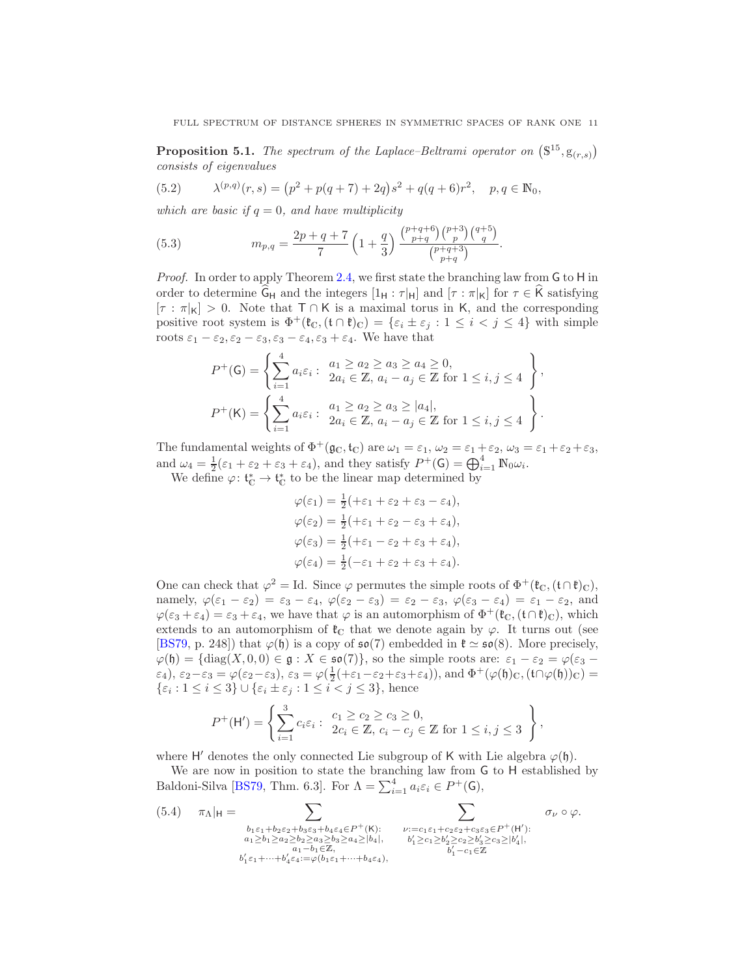<span id="page-10-3"></span>**Proposition 5.1.** The spectrum of the Laplace–Beltrami operator on  $(\mathbb{S}^{15}, g_{(r,s)})$ consists of eigenvalues

<span id="page-10-2"></span>(5.2) 
$$
\lambda^{(p,q)}(r,s) = (p^2 + p(q+7) + 2q)s^2 + q(q+6)r^2, \quad p, q \in \mathbb{N}_0,
$$

which are basic if  $q = 0$ , and have multiplicity

<span id="page-10-1"></span>(5.3) 
$$
m_{p,q} = \frac{2p+q+7}{7} \left(1+\frac{q}{3}\right) \frac{\binom{p+q+6}{p+q} \binom{p+3}{p} \binom{q+5}{q}}{\binom{p+q+3}{p+q}}.
$$

Proof. In order to apply Theorem [2.4,](#page-4-2) we first state the branching law from G to H in order to determine  $\widehat{G}_H$  and the integers  $[1_H : \tau|_H]$  and  $[\tau : \pi|_K]$  for  $\tau \in \widehat{K}$  satisfying  $[\tau : \pi|_{\mathsf{K}}] > 0$ . Note that  $\mathsf{T} \cap \mathsf{K}$  is a maximal torus in K, and the corresponding positive root system is  $\Phi^+(\mathfrak{k}_\mathbb{C}, (\mathfrak{t} \cap \mathfrak{k})_\mathbb{C}) = \{\varepsilon_i \pm \varepsilon_j : 1 \leq i < j \leq 4\}$  with simple roots  $\varepsilon_1 - \varepsilon_2, \varepsilon_2 - \varepsilon_3, \varepsilon_3 - \varepsilon_4, \varepsilon_3 + \varepsilon_4$ . We have that

$$
P^{+}(\mathsf{G}) = \left\{ \sum_{i=1}^{4} a_{i} \varepsilon_{i} : \begin{array}{l} a_{1} \geq a_{2} \geq a_{3} \geq a_{4} \geq 0, \\ 2a_{i} \in \mathbb{Z}, a_{i} - a_{j} \in \mathbb{Z} \text{ for } 1 \leq i, j \leq 4 \end{array} \right\},
$$
  

$$
P^{+}(\mathsf{K}) = \left\{ \sum_{i=1}^{4} a_{i} \varepsilon_{i} : \begin{array}{l} a_{1} \geq a_{2} \geq a_{3} \geq |a_{4}|, \\ 2a_{i} \in \mathbb{Z}, a_{i} - a_{j} \in \mathbb{Z} \text{ for } 1 \leq i, j \leq 4 \end{array} \right\}.
$$

The fundamental weights of  $\Phi^+(\mathfrak{g}_\mathbb{C}, \mathfrak{t}_\mathbb{C})$  are  $\omega_1 = \varepsilon_1, \omega_2 = \varepsilon_1 + \varepsilon_2, \omega_3 = \varepsilon_1 + \varepsilon_2 + \varepsilon_3$ , and  $\omega_4 = \frac{1}{2}(\varepsilon_1 + \varepsilon_2 + \varepsilon_3 + \varepsilon_4)$ , and they satisfy  $P^+(\mathsf{G}) = \bigoplus_{i=1}^4 \mathbb{N}_0 \omega_i$ .

We define  $\varphi: \mathfrak{t}_{\mathbb{C}}^* \to \mathfrak{t}_{\mathbb{C}}^*$  to be the linear map determined by

$$
\varphi(\varepsilon_1) = \frac{1}{2} (+\varepsilon_1 + \varepsilon_2 + \varepsilon_3 - \varepsilon_4),
$$
  
\n
$$
\varphi(\varepsilon_2) = \frac{1}{2} (+\varepsilon_1 + \varepsilon_2 - \varepsilon_3 + \varepsilon_4),
$$
  
\n
$$
\varphi(\varepsilon_3) = \frac{1}{2} (+\varepsilon_1 - \varepsilon_2 + \varepsilon_3 + \varepsilon_4),
$$
  
\n
$$
\varphi(\varepsilon_4) = \frac{1}{2} (-\varepsilon_1 + \varepsilon_2 + \varepsilon_3 + \varepsilon_4).
$$

One can check that  $\varphi^2 = \text{Id}$ . Since  $\varphi$  permutes the simple roots of  $\Phi^+(\mathfrak{k}_\mathbb{C}, (\mathfrak{t} \cap \mathfrak{k})_\mathbb{C}),$ namely,  $\varphi(\varepsilon_1 - \varepsilon_2) = \varepsilon_3 - \varepsilon_4$ ,  $\varphi(\varepsilon_2 - \varepsilon_3) = \varepsilon_2 - \varepsilon_3$ ,  $\varphi(\varepsilon_3 - \varepsilon_4) = \varepsilon_1 - \varepsilon_2$ , and  $\varphi(\varepsilon_3 + \varepsilon_4) = \varepsilon_3 + \varepsilon_4$ , we have that  $\varphi$  is an automorphism of  $\Phi^+(\mathfrak{k}_\mathbb{C}, (\mathfrak{t} \cap \mathfrak{k})_\mathbb{C})$ , which extends to an automorphism of  $\mathfrak{k}_\mathbb{C}$  that we denote again by  $\varphi$ . It turns out (see [\[BS79,](#page-18-11) p. 248]) that  $\varphi(\mathfrak{h})$  is a copy of  $\mathfrak{so}(7)$  embedded in  $\mathfrak{k} \simeq \mathfrak{so}(8)$ . More precisely,  $\varphi(\mathfrak{h}) = {\rm diag}(X, 0, 0) \in \mathfrak{g} : X \in \mathfrak{so}(7)$ , so the simple roots are:  $\varepsilon_1 - \varepsilon_2 = \varphi(\varepsilon_3 - \varepsilon_4)$  $(\varepsilon_4), \varepsilon_2 - \varepsilon_3 = \varphi(\varepsilon_2 - \varepsilon_3), \varepsilon_3 = \varphi(\frac{1}{2}(+\varepsilon_1 - \varepsilon_2 + \varepsilon_3 + \varepsilon_4)), \text{and } \Phi^+(\varphi(\mathfrak{h})_C, (\mathfrak{t} \cap \varphi(\mathfrak{h}))_C) =$  $\{\varepsilon_i: 1 \leq i \leq 3\} \cup \{\varepsilon_i \pm \varepsilon_j: 1 \leq i < j \leq 3\},\$ hence

$$
P^{+}(\mathsf{H}') = \left\{ \sum_{i=1}^{3} c_i \varepsilon_i : \begin{array}{l} c_1 \geq c_2 \geq c_3 \geq 0, \\ 2c_i \in \mathbb{Z}, \ c_i - c_j \in \mathbb{Z} \ \text{for} \ 1 \leq i, j \leq 3 \end{array} \right\},
$$

where H' denotes the only connected Lie subgroup of K with Lie algebra  $\varphi(\mathfrak{h})$ .

We are now in position to state the branching law from G to H established by Baldoni-Silva [\[BS79,](#page-18-11) Thm. 6.3]. For  $\Lambda = \sum_{i=1}^{4} a_i \varepsilon_i \in P^+(G)$ ,

<span id="page-10-0"></span>(5.4) 
$$
\pi_{\Lambda}|_{\mathsf{H}} = \sum_{\substack{b_1 \varepsilon_1 + b_2 \varepsilon_2 + b_3 \varepsilon_3 + b_4 \varepsilon_4 \in P^+(K):\\a_1 \ge b_1 \ge a_2 \ge b_2 \ge a_3 \ge b_3 \ge a_4 \ge |b_4|,}} \sum_{\substack{\nu := c_1 \varepsilon_1 + c_2 \varepsilon_2 + c_3 \varepsilon_3 \in P^+(H'):\\b'_1 \ge c_1 \ge b'_2 \ge c_2 \ge b'_3 \ge c_3 \ge |b'_4|,\\b'_1 - c_1 \in \mathbb{Z}}} \sigma_{\nu} \circ \varphi.
$$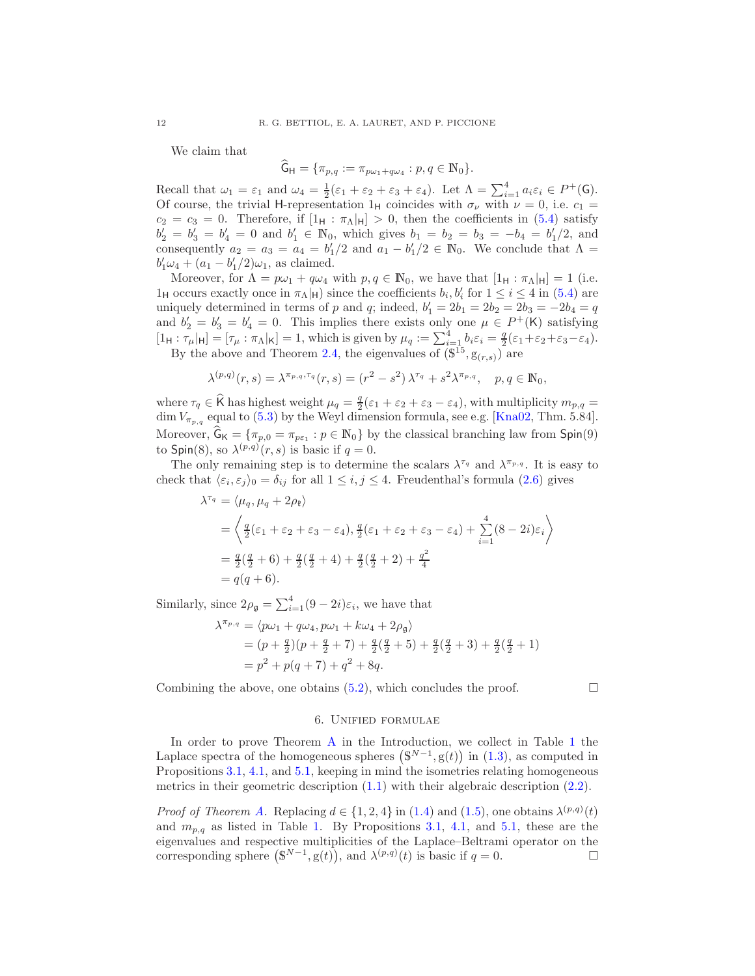We claim that

$$
\widehat{\mathsf{G}}_{\mathsf{H}} = \{ \pi_{p,q} := \pi_{p\omega_1 + q\omega_4} : p, q \in \mathbb{N}_0 \}.
$$

Recall that  $\omega_1 = \varepsilon_1$  and  $\omega_4 = \frac{1}{2}(\varepsilon_1 + \varepsilon_2 + \varepsilon_3 + \varepsilon_4)$ . Let  $\Lambda = \sum_{i=1}^4 a_i \varepsilon_i \in P^+(\mathsf{G})$ . Of course, the trivial H-representation 1<sub>H</sub> coincides with  $\sigma_{\nu}$  with  $\nu = 0$ , i.e.  $c_1 =$  $c_2 = c_3 = 0$ . Therefore, if  $[1_H : \pi_\Lambda|_H] > 0$ , then the coefficients in [\(5.4\)](#page-10-0) satisfy  $b'_2 = b'_3 = b'_4 = 0$  and  $b'_1 \in \mathbb{N}_0$ , which gives  $b_1 = b_2 = b_3 = -b_4 = b'_1/2$ , and consequently  $a_2 = a_3 = a_4 = b'_1/2$  and  $a_1 - b'_1/2 \in \mathbb{N}_0$ . We conclude that  $\Lambda =$  $b'_1\omega_4 + (a_1 - b'_1/2)\omega_1$ , as claimed.

Moreover, for  $\Lambda = p\omega_1 + q\omega_4$  with  $p, q \in \mathbb{N}_0$ , we have that  $[1_H : \pi_\Lambda]_H = 1$  (i.e.  $1_H$  occurs exactly once in  $\pi_\Lambda|_\mathsf{H}$ ) since the coefficients  $b_i, b'_i$  for  $1 \le i \le 4$  in [\(5.4\)](#page-10-0) are uniquely determined in terms of p and q; indeed,  $b'_1 = 2b_1 = 2b_2 = 2b_3 = -2b_4 = q$ and  $b'_2 = b'_3 = b'_4 = 0$ . This implies there exists only one  $\mu \in P^+(K)$  satisfying  $[1_H : \tau_\mu|_H] = [\tau_\mu : \pi_\Lambda|_K] = 1$ , which is given by  $\mu_q := \sum_{i=1}^4 b_i \varepsilon_i = \frac{q}{2} (\varepsilon_1 + \varepsilon_2 + \varepsilon_3 - \varepsilon_4)$ .

By the above and Theorem [2.4,](#page-4-2) the eigenvalues of  $(\mathbb{S}^{15}, \mathbb{S}_{(r,s)})$  are

$$
\lambda^{(p,q)}(r,s) = \lambda^{\pi_{p,q},\tau_q}(r,s) = (r^2 - s^2) \lambda^{\tau_q} + s^2 \lambda^{\pi_{p,q}}, \quad p,q \in \mathbb{N}_0,
$$

where  $\tau_q \in \widehat{K}$  has highest weight  $\mu_q = \frac{q}{2}(\varepsilon_1 + \varepsilon_2 + \varepsilon_3 - \varepsilon_4)$ , with multiplicity  $m_{p,q} =$ dim  $V_{\pi_{p,q}}$  equal to [\(5.3\)](#page-10-1) by the Weyl dimension formula, see e.g. [\[Kna02,](#page-18-8) Thm. 5.84]. Moreover,  $\hat{\mathsf{G}}_{\mathsf{K}} = {\pi_{p,0} = \pi_{p\epsilon_1} : p \in \mathbb{N}_0}$  by the classical branching law from  $\mathsf{Spin}(9)$ to Spin(8), so  $\lambda^{(p,q)}(r,s)$  is basic if  $q=0$ .

The only remaining step is to determine the scalars  $\lambda^{\tau_q}$  and  $\lambda^{\pi_{p,q}}$ . It is easy to check that  $\langle \varepsilon_i, \varepsilon_j \rangle_0 = \delta_{ij}$  for all  $1 \leq i, j \leq 4$ . Freudenthal's formula  $(2.6)$  gives

$$
\lambda^{\tau_q} = \langle \mu_q, \mu_q + 2\rho_{\mathfrak{k}} \rangle
$$
  
=  $\left\langle \frac{q}{2}(\varepsilon_1 + \varepsilon_2 + \varepsilon_3 - \varepsilon_4), \frac{q}{2}(\varepsilon_1 + \varepsilon_2 + \varepsilon_3 - \varepsilon_4) + \sum_{i=1}^4 (8 - 2i)\varepsilon_i \right\rangle$   
=  $\frac{q}{2}(\frac{q}{2} + 6) + \frac{q}{2}(\frac{q}{2} + 4) + \frac{q}{2}(\frac{q}{2} + 2) + \frac{q^2}{4}$   
=  $q(q + 6)$ .

Similarly, since  $2\rho_{\mathfrak{g}} = \sum_{i=1}^{4} (9 - 2i)\varepsilon_i$ , we have that

$$
\lambda^{\pi_{p,q}} = \langle p\omega_1 + q\omega_4, p\omega_1 + k\omega_4 + 2\rho_{\mathfrak{g}} \rangle
$$
  
=  $(p + \frac{q}{2})(p + \frac{q}{2} + 7) + \frac{q}{2}(\frac{q}{2} + 5) + \frac{q}{2}(\frac{q}{2} + 3) + \frac{q}{2}(\frac{q}{2} + 1)$   
=  $p^2 + p(q + 7) + q^2 + 8q$ .

<span id="page-11-0"></span>Combining the above, one obtains  $(5.2)$ , which concludes the proof.

#### 6. Unified formulae

In order to prove Theorem [A](#page-1-3) in the Introduction, we collect in Table [1](#page-12-0) the Laplace spectra of the homogeneous spheres  $(S^{N-1}, g(t))$  in  $(1.3)$ , as computed in Propositions [3.1,](#page-7-3) [4.1,](#page-8-5) and [5.1,](#page-10-3) keeping in mind the isometries relating homogeneous metrics in their geometric description [\(1.1\)](#page-0-0) with their algebraic description [\(2.2\)](#page-3-3).

*Proof of Theorem [A.](#page-1-3)* Replacing  $d \in \{1, 2, 4\}$  in [\(1.4\)](#page-1-1) and [\(1.5\)](#page-1-2), one obtains  $\lambda^{(p,q)}(t)$ and  $m_{p,q}$  as listed in Table [1.](#page-12-0) By Propositions [3.1,](#page-7-3) [4.1,](#page-8-5) and [5.1,](#page-10-3) these are the eigenvalues and respective multiplicities of the Laplace–Beltrami operator on the corresponding sphere  $(S^{N-1}, g(t))$ , and  $\lambda^{(p,q)}(t)$  is basic if  $q = 0$ .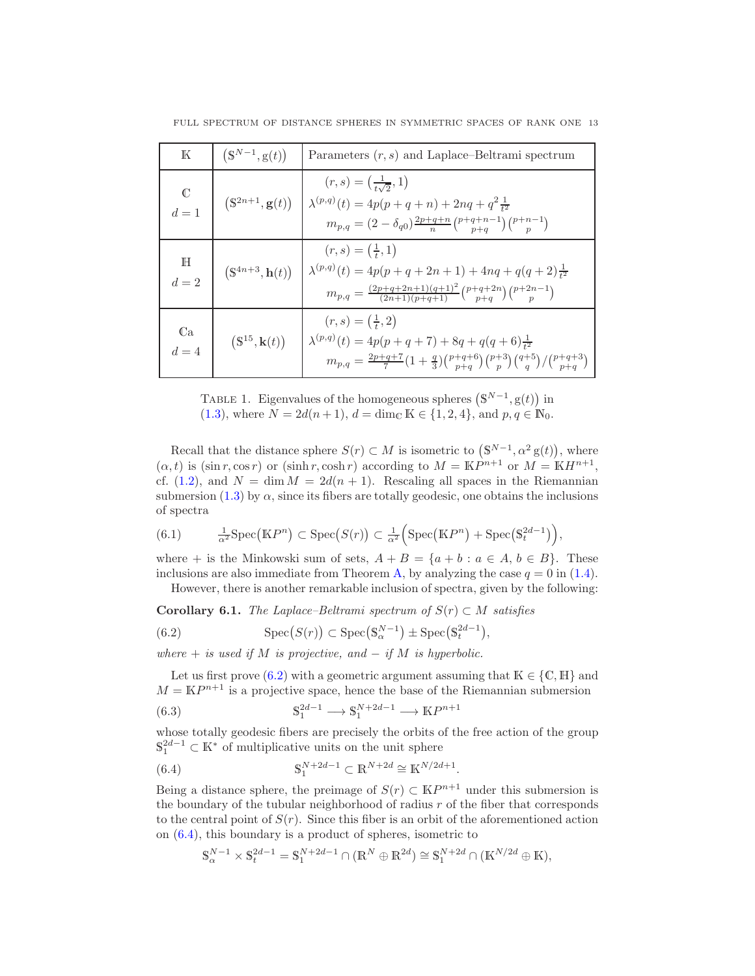| $\mathbb K$          | $(S^{N-1}, g(t))$                    | Parameters $(r, s)$ and Laplace–Beltrami spectrum                                                                                                                                                                         |
|----------------------|--------------------------------------|---------------------------------------------------------------------------------------------------------------------------------------------------------------------------------------------------------------------------|
| C<br>$d=1$           | $(\mathbb{S}^{2n+1}, \mathbf{g}(t))$ | $(r, s) = (\frac{1}{t_1, 0}, 1)$<br>$\lambda^{(p,q)}(t) = 4p(p+q+n) + 2nq + q^2 \frac{1}{t^2}$<br>$m_{p,q} = (2-\delta_{q0})\frac{2p+q+n}{n} \binom{p+q+n-1}{p+q} \binom{p+n-1}{p}$                                       |
| $\mathbb H$<br>$d=2$ | $(S^{4n+3}, h(t))$                   | $(r, s) = (\frac{1}{r}, 1)$<br>$\lambda^{(p,q)}(t) = 4p(p+q+2n+1) + 4nq + q(q+2)\frac{1}{t^2}$<br>$m_{p,q} = \frac{(2p+q+2n+1)(q+1)^2}{(2n+1)(n+a+1)} \binom{p+q+2n}{n+a} \binom{p+2n-1}{n}$                              |
| Ca<br>$d=4$          | $(S^{15}, k(t))$                     | $(r, s) = (\frac{1}{t}, 2)$<br>$\lambda^{(p,q)}(t) = 4p(p+q+7) + 8q + q(q+6)\frac{1}{t^2}$<br>$m_{p,q} = \frac{2p+q+7}{7} \left(1+\frac{q}{3}\right) \binom{p+q+6}{p+q} \binom{p+3}{p} \binom{q+5}{q} \binom{p+q+3}{p+q}$ |

<span id="page-12-0"></span>FULL SPECTRUM OF DISTANCE SPHERES IN SYMMETRIC SPACES OF RANK ONE 13

TABLE 1. Eigenvalues of the homogeneous spheres  $(S^{N-1}, g(t))$  in [\(1.3\)](#page-1-0), where  $N = 2d(n+1)$ ,  $d = \dim_{\mathbb{C}} \mathbb{K} \in \{1, 2, 4\}$ , and  $p, q \in \mathbb{N}_0$ .

Recall that the distance sphere  $S(r) \subset M$  is isometric to  $(\mathbb{S}^{N-1}, \alpha^2 \mathbb{g}(t))$ , where  $(\alpha, t)$  is  $(\sin r, \cos r)$  or  $(\sinh r, \cosh r)$  according to  $M = \mathbb{K}P^{n+1}$  or  $M = \mathbb{K}H^{n+1}$ , cf. [\(1.2\)](#page-1-4), and  $N = \dim M = 2d(n + 1)$ . Rescaling all spaces in the Riemannian submersion [\(1.3\)](#page-1-0) by  $\alpha$ , since its fibers are totally geodesic, one obtains the inclusions of spectra

(6.1) 
$$
\frac{1}{\alpha^2} \operatorname{Spec}(\mathbb{K}P^n) \subset \operatorname{Spec}(S(r)) \subset \frac{1}{\alpha^2} \Big( \operatorname{Spec}(\mathbb{K}P^n) + \operatorname{Spec}(\mathbb{S}_t^{2d-1}) \Big),
$$

where  $+$  is the Minkowski sum of sets,  $A + B = \{a + b : a \in A, b \in B\}$ . These inclusions are also immediate from Theorem [A,](#page-1-3) by analyzing the case  $q = 0$  in [\(1.4\)](#page-1-1). However, there is another remarkable inclusion of spectra, given by the following:

Corollary 6.1. The Laplace–Beltrami spectrum of  $S(r) \subset M$  satisfies

<span id="page-12-1"></span>(6.2) 
$$
\operatorname{Spec}(S(r)) \subset \operatorname{Spec}(\mathbb{S}_{\alpha}^{N-1}) \pm \operatorname{Spec}(\mathbb{S}_{t}^{2d-1}),
$$

where  $+$  is used if M is projective, and  $-$  if M is hyperbolic.

Let us first prove [\(6.2\)](#page-12-1) with a geometric argument assuming that  $K \in \{C, H\}$  and  $M = \mathbb{K}P^{n+1}$  is a projective space, hence the base of the Riemannian submersion

<span id="page-12-3"></span>(6.3) 
$$
\mathbb{S}_1^{2d-1} \longrightarrow \mathbb{S}_1^{N+2d-1} \longrightarrow \mathbb{K}P^{n+1}
$$

whose totally geodesic fibers are precisely the orbits of the free action of the group  $\mathbb{S}_1^{2d-1} \subset \mathbb{K}^*$  of multiplicative units on the unit sphere

(6.4) 
$$
\mathbb{S}_1^{N+2d-1} \subset \mathbb{R}^{N+2d} \cong \mathbb{K}^{N/2d+1}.
$$

Being a distance sphere, the preimage of  $S(r) \subset \mathbb{K}P^{n+1}$  under this submersion is the boundary of the tubular neighborhood of radius  $r$  of the fiber that corresponds to the central point of  $S(r)$ . Since this fiber is an orbit of the aforementioned action on [\(6.4\)](#page-12-2), this boundary is a product of spheres, isometric to

<span id="page-12-2"></span>
$$
\mathbb{S}_\alpha^{N-1}\times\mathbb{S}_t^{2d-1}=\mathbb{S}_1^{N+2d-1}\cap(\mathbb{R}^N\oplus\mathbb{R}^{2d})\cong\mathbb{S}_1^{N+2d}\cap(\mathbb{K}^{N/2d}\oplus\mathbb{K}),
$$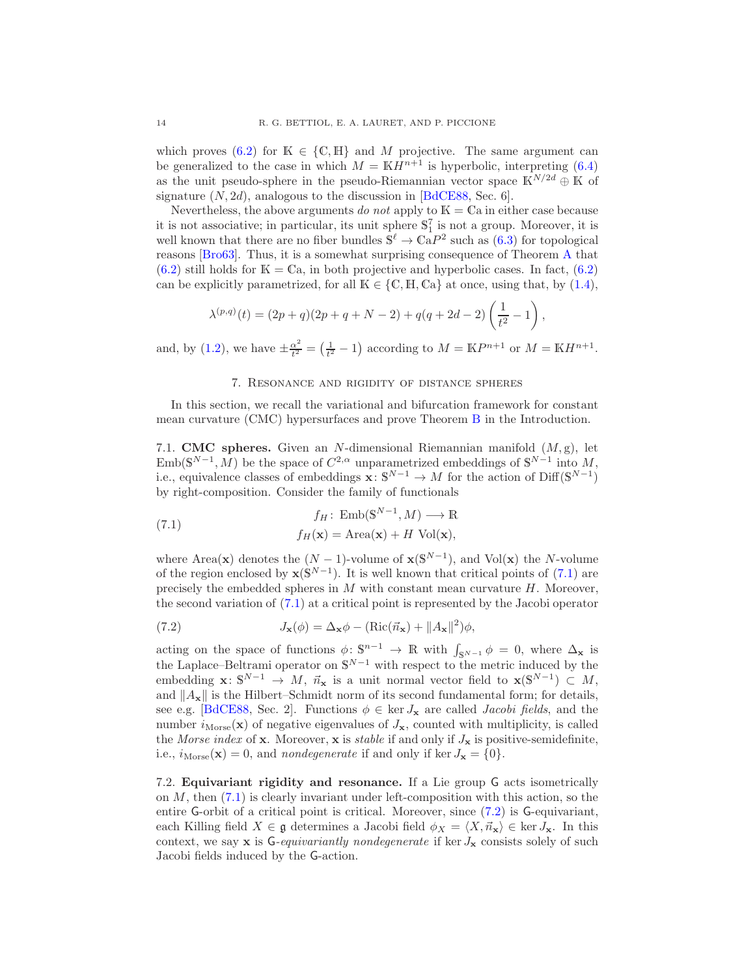which proves [\(6.2\)](#page-12-1) for  $K \in \{C, H\}$  and M projective. The same argument can be generalized to the case in which  $M = \mathbb{K}H^{n+1}$  is hyperbolic, interpreting [\(6.4\)](#page-12-2) as the unit pseudo-sphere in the pseudo-Riemannian vector space  $\mathbb{K}^{N/2d} \oplus \mathbb{K}$  of signature  $(N, 2d)$ , analogous to the discussion in [\[BdCE88,](#page-17-4) Sec. 6].

Nevertheless, the above arguments do not apply to  $\mathbb{K} = \mathbb{C}$  ain either case because it is not associative; in particular, its unit sphere  $\mathbb{S}_1^7$  is not a group. Moreover, it is well known that there are no fiber bundles  $\mathbb{S}^{\ell} \to \mathbb{C}aP^2$  such as  $(6.3)$  for topological reasons [\[Bro63\]](#page-18-12). Thus, it is a somewhat surprising consequence of Theorem [A](#page-1-3) that  $(6.2)$  still holds for  $\mathbb{K} = \mathbb{C}$ a, in both projective and hyperbolic cases. In fact,  $(6.2)$ can be explicitly parametrized, for all  $K \in \{C, H, Ca\}$  at once, using that, by [\(1.4\)](#page-1-1),

$$
\lambda^{(p,q)}(t) = (2p+q)(2p+q+N-2) + q(q+2d-2)\left(\frac{1}{t^2} - 1\right),
$$

<span id="page-13-0"></span>and, by [\(1.2\)](#page-1-4), we have  $\pm \frac{\alpha^2}{t^2}$  $\frac{\alpha^2}{t^2} = \left(\frac{1}{t^2} - 1\right)$  according to  $M = \mathbb{K}P^{n+1}$  or  $M = \mathbb{K}H^{n+1}$ .

### 7. Resonance and rigidity of distance spheres

In this section, we recall the variational and bifurcation framework for constant mean curvature (CMC) hypersurfaces and prove Theorem [B](#page-2-0) in the Introduction.

7.1. **CMC** spheres. Given an N-dimensional Riemannian manifold  $(M, g)$ , let Emb( $\mathbb{S}^{N-1}, M$ ) be the space of  $C^{2,\alpha}$  unparametrized embeddings of  $\mathbb{S}^{N-1}$  into M, i.e., equivalence classes of embeddings  $\mathbf{x} : \mathbb{S}^{N-1} \to M$  for the action of Diff( $\mathbb{S}^{N-1}$ ) by right-composition. Consider the family of functionals

<span id="page-13-1"></span>(7.1) 
$$
f_H: \text{Emb}(\mathbb{S}^{N-1}, M) \longrightarrow \mathbb{R}
$$

$$
f_H(\mathbf{x}) = \text{Area}(\mathbf{x}) + H \text{ Vol}(\mathbf{x}),
$$

where Area(**x**) denotes the  $(N-1)$ -volume of  $\mathbf{x}(\mathbb{S}^{N-1})$ , and Vol(**x**) the N-volume of the region enclosed by  $\mathbf{x}(\mathbb{S}^{N-1})$ . It is well known that critical points of [\(7.1\)](#page-13-1) are precisely the embedded spheres in  $M$  with constant mean curvature  $H$ . Moreover, the second variation of [\(7.1\)](#page-13-1) at a critical point is represented by the Jacobi operator

<span id="page-13-2"></span>(7.2) 
$$
J_{\mathbf{x}}(\phi) = \Delta_{\mathbf{x}} \phi - (\text{Ric}(\vec{n}_{\mathbf{x}}) + ||A_{\mathbf{x}}||^2)\phi,
$$

acting on the space of functions  $\phi: \mathbb{S}^{n-1} \to \mathbb{R}$  with  $\int_{\mathbb{S}^{N-1}} \phi = 0$ , where  $\Delta_{\mathbf{x}}$  is the Laplace–Beltrami operator on  $\mathbb{S}^{N-1}$  with respect to the metric induced by the embedding  $\mathbf{x} \colon \mathbb{S}^{N-1} \to M$ ,  $\vec{n}_{\mathbf{x}}$  is a unit normal vector field to  $\mathbf{x}(\mathbb{S}^{N-1}) \subset M$ , and  $||A_{\mathbf{x}}||$  is the Hilbert–Schmidt norm of its second fundamental form; for details, see e.g. [\[BdCE88,](#page-17-4) Sec. 2]. Functions  $\phi \in \text{ker } J_{\mathbf{x}}$  are called *Jacobi fields*, and the number  $i_{\text{Morse}}(\mathbf{x})$  of negative eigenvalues of  $J_{\mathbf{x}}$ , counted with multiplicity, is called the Morse index of **x**. Moreover, **x** is *stable* if and only if  $J_x$  is positive-semidefinite, i.e.,  $i_{\text{Morse}}(\mathbf{x}) = 0$ , and *nondegenerate* if and only if ker  $J_{\mathbf{x}} = \{0\}$ .

7.2. Equivariant rigidity and resonance. If a Lie group G acts isometrically on  $M$ , then  $(7.1)$  is clearly invariant under left-composition with this action, so the entire G-orbit of a critical point is critical. Moreover, since [\(7.2\)](#page-13-2) is G-equivariant, each Killing field  $X \in \mathfrak{g}$  determines a Jacobi field  $\phi_X = \langle X, \vec{n}_\mathbf{x} \rangle \in \ker J_\mathbf{x}$ . In this context, we say  $x$  is G-equivariantly nondegenerate if ker  $J_x$  consists solely of such Jacobi fields induced by the G-action.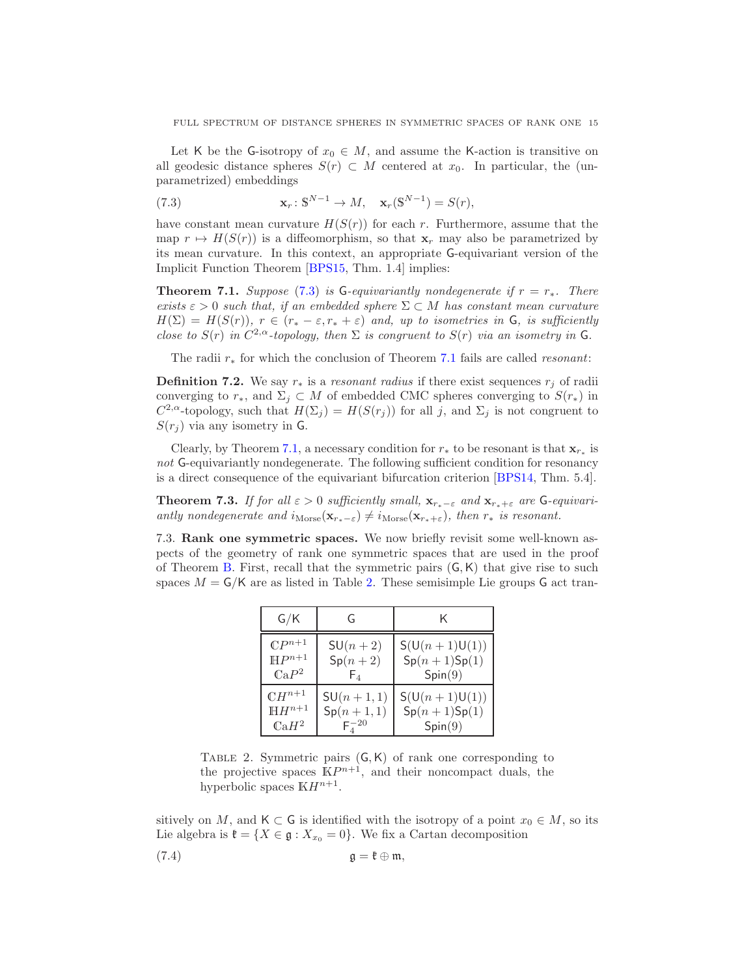Let K be the G-isotropy of  $x_0 \in M$ , and assume the K-action is transitive on all geodesic distance spheres  $S(r) \subset M$  centered at  $x_0$ . In particular, the (unparametrized) embeddings

<span id="page-14-0"></span>(7.3) 
$$
\mathbf{x}_r : \mathbb{S}^{N-1} \to M, \quad \mathbf{x}_r(\mathbb{S}^{N-1}) = S(r),
$$

have constant mean curvature  $H(S(r))$  for each r. Furthermore, assume that the map  $r \mapsto H(S(r))$  is a diffeomorphism, so that  $\mathbf{x}_r$  may also be parametrized by its mean curvature. In this context, an appropriate G-equivariant version of the Implicit Function Theorem [\[BPS15,](#page-17-8) Thm. 1.4] implies:

<span id="page-14-1"></span>**Theorem 7.1.** Suppose [\(7.3\)](#page-14-0) is G-equivariantly nondegenerate if  $r = r_*$ . There exists  $\varepsilon > 0$  such that, if an embedded sphere  $\Sigma \subset M$  has constant mean curvature  $H(\Sigma) = H(S(r))$ ,  $r \in (r_* - \varepsilon, r_* + \varepsilon)$  and, up to isometries in G, is sufficiently close to  $S(r)$  in  $C^{2,\alpha}$ -topology, then  $\Sigma$  is congruent to  $S(r)$  via an isometry in G.

The radii  $r_*$  for which the conclusion of Theorem [7.1](#page-14-1) fails are called *resonant*:

**Definition 7.2.** We say  $r_*$  is a resonant radius if there exist sequences  $r_j$  of radii converging to  $r_*,$  and  $\Sigma_j \subset M$  of embedded CMC spheres converging to  $S(r_*)$  in  $C^{2,\alpha}$ -topology, such that  $H(\Sigma_j) = H(S(r_j))$  for all j, and  $\Sigma_j$  is not congruent to  $S(r_i)$  via any isometry in G.

Clearly, by Theorem [7.1,](#page-14-1) a necessary condition for  $r_*$  to be resonant is that  $\mathbf{x}_{r_*}$  is not G-equivariantly nondegenerate. The following sufficient condition for resonancy is a direct consequence of the equivariant bifurcation criterion [\[BPS14,](#page-17-9) Thm. 5.4].

<span id="page-14-4"></span>**Theorem 7.3.** If for all  $\varepsilon > 0$  sufficiently small,  $\mathbf{x}_{r_*-\varepsilon}$  and  $\mathbf{x}_{r_*+\varepsilon}$  are G-equivariantly nondegenerate and  $i_{\text{Morse}}(\mathbf{x}_{r_*-\varepsilon}) \neq i_{\text{Morse}}(\mathbf{x}_{r_*+\varepsilon})$ , then  $r_*$  is resonant.

<span id="page-14-2"></span>7.3. Rank one symmetric spaces. We now briefly revisit some well-known aspects of the geometry of rank one symmetric spaces that are used in the proof of Theorem [B.](#page-2-0) First, recall that the symmetric pairs  $(G, K)$  that give rise to such spaces  $M = G/K$  are as listed in Table [2.](#page-14-2) These semisimple Lie groups G act tran-

| G/K                         | G              | K                 |
|-----------------------------|----------------|-------------------|
| $\mathbb{C}P^{n+1}$         | $SU(n+2)$      | $S(U(n + 1)U(1))$ |
| $\mathbb{H}P^{n+1}$         | $Sp(n+2)$      | $Sp(n+1)Sp(1)$    |
| $\mathbb{C} \mathbf{a} P^2$ | $\mathsf{F}_4$ | Spin(9)           |
| $\mathbb{C}H^{n+1}$         | $SU(n + 1, 1)$ | $S(U(n+1)U(1))$   |
| $\mathbb{H} H^{n+1}$        | $Sp(n + 1, 1)$ | $Sp(n+1)Sp(1)$    |
| $\mathbb{C} \circ H^2$      | $F_4^{-20}$    | Spin(9)           |

<span id="page-14-3"></span>TABLE 2. Symmetric pairs  $(G, K)$  of rank one corresponding to the projective spaces  $\mathbb{K}P^{n+1}$ , and their noncompact duals, the hyperbolic spaces  $\mathbb{K}H^{n+1}$ .

sitively on M, and K  $\subset$  G is identified with the isotropy of a point  $x_0 \in M$ , so its Lie algebra is  $\mathfrak{k} = \{X \in \mathfrak{g} : X_{x_0} = 0\}$ . We fix a Cartan decomposition

(7.4) g = k ⊕ m,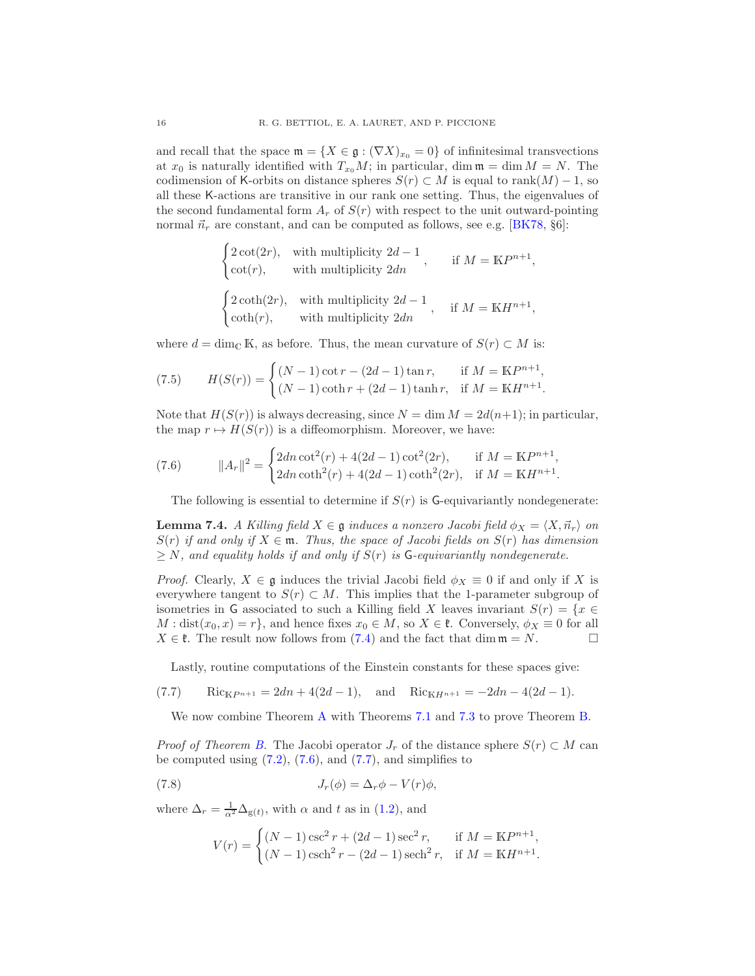and recall that the space  $\mathfrak{m} = \{X \in \mathfrak{g} : (\nabla X)_{x_0} = 0\}$  of infinitesimal transvections at  $x_0$  is naturally identified with  $T_{x_0}M$ ; in particular, dim  $\mathfrak{m} = \dim M = N$ . The codimension of K-orbits on distance spheres  $S(r) \subset M$  is equal to rank $(M) - 1$ , so all these K-actions are transitive in our rank one setting. Thus, the eigenvalues of the second fundamental form  $A_r$  of  $S(r)$  with respect to the unit outward-pointing normal  $\vec{n}_r$  are constant, and can be computed as follows, see e.g. [\[BK78,](#page-17-10) §6]:

$$
\begin{cases} 2\cot(2r), & \text{with multiplicity } 2d-1 \\ \cot(r), & \text{with multiplicity } 2dn \end{cases}
$$
, if  $M = \mathbb{K}P^{n+1}$ ,  

$$
\begin{cases} 2\coth(2r), & \text{with multiplicity } 2d-1 \\ \coth(r), & \text{with multiplicity } 2dn \end{cases}
$$
, if  $M = \mathbb{K}H^{n+1}$ ,

where  $d = \dim_{\mathbb{C}} \mathbb{K}$ , as before. Thus, the mean curvature of  $S(r) \subset M$  is:

(7.5) 
$$
H(S(r)) = \begin{cases} (N-1)\cot r - (2d-1)\tan r, & \text{if } M = \mathbb{K}P^{n+1}, \\ (N-1)\coth r + (2d-1)\tanh r, & \text{if } M = \mathbb{K}H^{n+1}. \end{cases}
$$

Note that  $H(S(r))$  is always decreasing, since  $N = \dim M = 2d(n+1)$ ; in particular, the map  $r \mapsto H(S(r))$  is a diffeomorphism. Moreover, we have:

(7.6) 
$$
||A_r||^2 = \begin{cases} 2dn \cot^2(r) + 4(2d - 1)\cot^2(2r), & \text{if } M = \mathbb{K}P^{n+1}, \\ 2dn \coth^2(r) + 4(2d - 1)\coth^2(2r), & \text{if } M = \mathbb{K}H^{n+1}. \end{cases}
$$

<span id="page-15-0"></span>The following is essential to determine if  $S(r)$  is G-equivariantly nondegenerate:

<span id="page-15-2"></span>**Lemma 7.4.** A Killing field  $X \in \mathfrak{g}$  induces a nonzero Jacobi field  $\phi_X = \langle X, \vec{n}_r \rangle$  on  $S(r)$  if and only if  $X \in \mathfrak{m}$ . Thus, the space of Jacobi fields on  $S(r)$  has dimension  $\geq N$ , and equality holds if and only if  $S(r)$  is G-equivariantly nondegenerate.

*Proof.* Clearly,  $X \in \mathfrak{g}$  induces the trivial Jacobi field  $\phi_X \equiv 0$  if and only if X is everywhere tangent to  $S(r) \subset M$ . This implies that the 1-parameter subgroup of isometries in G associated to such a Killing field X leaves invariant  $S(r) = \{x \in$  $M : dist(x_0, x) = r$ , and hence fixes  $x_0 \in M$ , so  $X \in \mathfrak{k}$ . Conversely,  $\phi_X \equiv 0$  for all  $X \in \mathfrak{k}$ . The result now follows from (7.4) and the fact that dim  $\mathfrak{m} = N$  $X \in \mathfrak{k}$ . The result now follows from [\(7.4\)](#page-14-3) and the fact that dim  $\mathfrak{m} = N$ .

<span id="page-15-1"></span>Lastly, routine computations of the Einstein constants for these spaces give:

(7.7) 
$$
Ric_{\mathbb{K}P^{n+1}} = 2dn + 4(2d - 1), \text{ and } Ric_{\mathbb{K}H^{n+1}} = -2dn - 4(2d - 1).
$$

We now combine Theorem [A](#page-1-3) with Theorems [7.1](#page-14-1) and [7.3](#page-14-4) to prove Theorem [B.](#page-2-0)

*Proof of Theorem [B.](#page-2-0)* The Jacobi operator  $J_r$  of the distance sphere  $S(r) \subset M$  can be computed using  $(7.2)$ ,  $(7.6)$ , and  $(7.7)$ , and simplifies to

(7.8) 
$$
J_r(\phi) = \Delta_r \phi - V(r) \phi,
$$

where  $\Delta_r = \frac{1}{\alpha^2} \Delta_{g(t)}$ , with  $\alpha$  and t as in [\(1.2\)](#page-1-4), and

$$
V(r) = \begin{cases} (N-1)\csc^2 r + (2d-1)\sec^2 r, & \text{if } M = \mathbb{K}P^{n+1}, \\ (N-1)\csch^2 r - (2d-1)\sech^2 r, & \text{if } M = \mathbb{K}H^{n+1}. \end{cases}
$$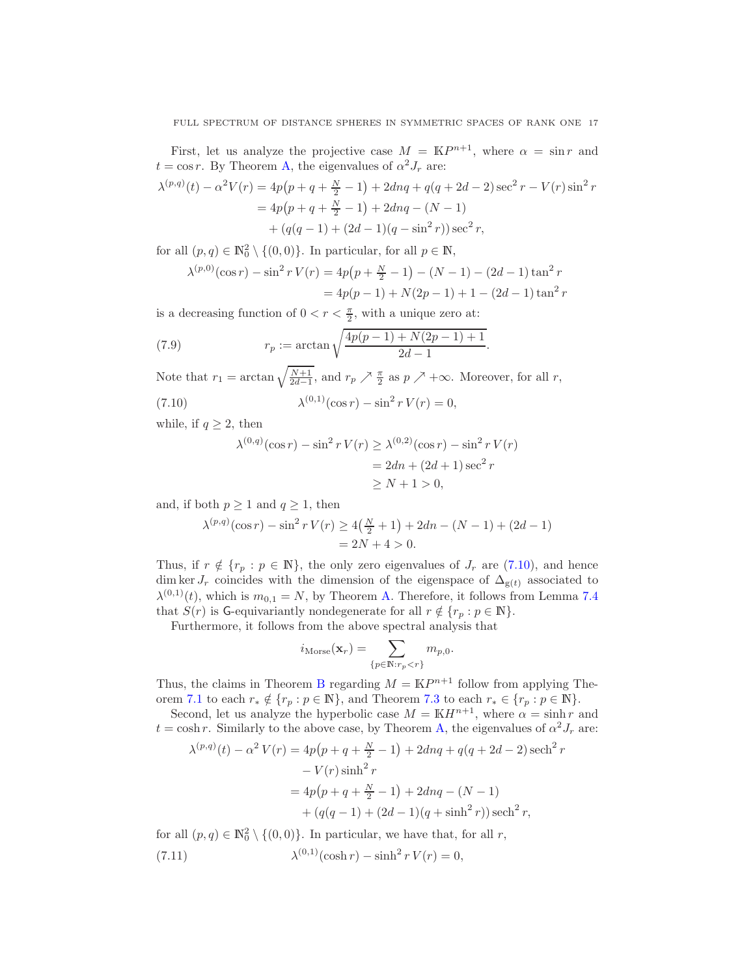First, let us analyze the projective case  $M = \mathbb{K}P^{n+1}$ , where  $\alpha = \sin r$  and  $t = \cos r$ . By Theorem [A,](#page-1-3) the eigenvalues of  $\alpha^2 J_r$  are:

$$
\lambda^{(p,q)}(t) - \alpha^2 V(r) = 4p(p+q+\frac{N}{2}-1) + 2dnq + q(q+2d-2)\sec^2 r - V(r)\sin^2 r
$$
  
=  $4p(p+q+\frac{N}{2}-1) + 2dnq - (N-1)$   
+  $(q(q-1) + (2d-1)(q-\sin^2 r))\sec^2 r$ ,

for all  $(p, q) \in \mathbb{N}_0^2 \setminus \{(0, 0)\}.$  In particular, for all  $p \in \mathbb{N}$ ,

$$
\lambda^{(p,0)}(\cos r) - \sin^2 r V(r) = 4p(p + \frac{N}{2} - 1) - (N - 1) - (2d - 1)\tan^2 r
$$
  
= 4p(p - 1) + N(2p - 1) + 1 - (2d - 1)\tan^2 r

is a decreasing function of  $0 < r < \frac{\pi}{2}$ , with a unique zero at:

(7.9) 
$$
r_p := \arctan\sqrt{\frac{4p(p-1) + N(2p-1) + 1}{2d-1}}.
$$

Note that  $r_1 = \arctan\sqrt{\frac{N+1}{2d-1}}$ , and  $r_p \nearrow \frac{\pi}{2}$  as  $p \nearrow +\infty$ . Moreover, for all r,

(7.10) 
$$
\lambda^{(0,1)}(\cos r) - \sin^2 r V(r) = 0,
$$

while, if  $q \geq 2$ , then

<span id="page-16-2"></span><span id="page-16-0"></span>
$$
\lambda^{(0,q)}(\cos r) - \sin^2 r V(r) \ge \lambda^{(0,2)}(\cos r) - \sin^2 r V(r)
$$
  
= 2dn + (2d + 1) sec<sup>2</sup> r  

$$
\ge N + 1 > 0,
$$

and, if both  $p \ge 1$  and  $q \ge 1$ , then

$$
\lambda^{(p,q)}(\cos r) - \sin^2 r V(r) \ge 4\left(\frac{N}{2} + 1\right) + 2dn - (N - 1) + (2d - 1)
$$
  
= 2N + 4 > 0.

Thus, if  $r \notin \{r_p : p \in \mathbb{N}\}\$ , the only zero eigenvalues of  $J_r$  are [\(7.10\)](#page-16-0), and hence dim ker  $J_r$  coincides with the dimension of the eigenspace of  $\Delta_{g(t)}$  associated to  $\lambda^{(0,1)}(t)$ , which is  $m_{0,1} = N$ , by Theorem [A.](#page-1-3) Therefore, it follows from Lemma [7.4](#page-15-2) that  $S(r)$  is G-equivariantly nondegenerate for all  $r \notin \{r_p : p \in \mathbb{N}\}.$ 

Furthermore, it follows from the above spectral analysis that

$$
i_{\text{Morse}}(\mathbf{x}_r) = \sum_{\{p \in \mathbb{N}: r_p < r\}} m_{p,0}.
$$

Thus, the claims in Theorem [B](#page-2-0) regarding  $M = \mathbb{K}P^{n+1}$  follow from applying The-orem [7.1](#page-14-1) to each  $r_* \notin \{r_p : p \in \mathbb{N}\},$  and Theorem [7.3](#page-14-4) to each  $r_* \in \{r_p : p \in \mathbb{N}\}.$ 

Second, let us analyze the hyperbolic case  $M = \mathbb{K}H^{n+1}$ , where  $\alpha = \sinh r$  and  $t = \cosh r$ . Similarly to the above case, by Theorem [A,](#page-1-3) the eigenvalues of  $\alpha^2 J_r$  are:

$$
\lambda^{(p,q)}(t) - \alpha^2 V(r) = 4p(p+q+\frac{N}{2}-1) + 2dnq + q(q+2d-2)\operatorname{sech}^2 r
$$
  

$$
-V(r)\sinh^2 r
$$
  

$$
= 4p(p+q+\frac{N}{2}-1) + 2dnq - (N-1)
$$
  

$$
+ (q(q-1) + (2d-1)(q+\sinh^2 r)) \operatorname{sech}^2 r,
$$

<span id="page-16-1"></span>for all  $(p, q) \in \mathbb{N}_0^2 \setminus \{(0, 0)\}\)$ . In particular, we have that, for all r,  $(7.11)$  $^{(0,1)}(\cosh r) - \sinh^2 r V(r) = 0,$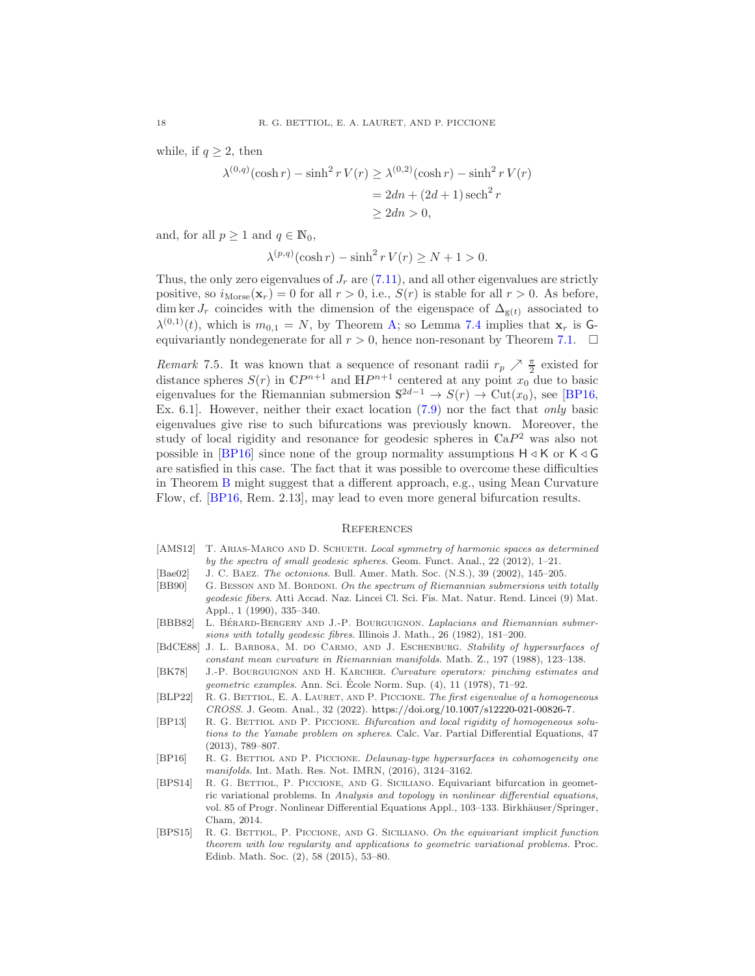while, if  $q \geq 2$ , then

$$
\lambda^{(0,q)}(\cosh r) - \sinh^2 r V(r) \ge \lambda^{(0,2)}(\cosh r) - \sinh^2 r V(r)
$$
  
=  $2dn + (2d + 1) \operatorname{sech}^2 r$   
 $\ge 2dn > 0,$ 

and, for all  $p \geq 1$  and  $q \in \mathbb{N}_0$ ,

$$
\lambda^{(p,q)}(\cosh r) - \sinh^2 r V(r) \ge N + 1 > 0.
$$

Thus, the only zero eigenvalues of  $J_r$  are  $(7.11)$ , and all other eigenvalues are strictly positive, so  $i_{\text{Morse}}(\mathbf{x}_r) = 0$  for all  $r > 0$ , i.e.,  $S(r)$  is stable for all  $r > 0$ . As before, dim ker  $J_r$  coincides with the dimension of the eigenspace of  $\Delta_{g(t)}$  associated to  $\lambda^{(0,1)}(t)$ , which is  $m_{0,1} = N$ , by Theorem [A;](#page-1-3) so Lemma [7.4](#page-15-2) implies that  $\mathbf{x}_r$  is Gequivariantly nondegenerate for all  $r > 0$ , hence non-resonant by Theorem [7.1.](#page-14-1)  $\Box$ 

Remark 7.5. It was known that a sequence of resonant radii  $r_p \nearrow \frac{\pi}{2}$  existed for distance spheres  $S(r)$  in  $\mathbb{C}P^{n+1}$  and  $\mathbb{H}P^{n+1}$  centered at any point  $x_0$  due to basic eigenvalues for the Riemannian submersion  $S^{2d-1} \to S(r) \to \text{Cut}(x_0)$ , see [\[BP16,](#page-17-7) Ex. 6.1]. However, neither their exact location [\(7.9\)](#page-16-2) nor the fact that only basic eigenvalues give rise to such bifurcations was previously known. Moreover, the study of local rigidity and resonance for geodesic spheres in  $\mathbb{C}aP^2$  was also not possible in [\[BP16\]](#page-17-7) since none of the group normality assumptions  $H \triangleleft K$  or  $K \triangleleft G$ are satisfied in this case. The fact that it was possible to overcome these difficulties in Theorem [B](#page-2-0) might suggest that a different approach, e.g., using Mean Curvature Flow, cf. [\[BP16,](#page-17-7) Rem. 2.13], may lead to even more general bifurcation results.

#### **REFERENCES**

- <span id="page-17-6"></span>[AMS12] T. ARIAS-MARCO AND D. SCHUETH. Local symmetry of harmonic spaces as determined by the spectra of small geodesic spheres. Geom. Funct. Anal., 22 (2012), 1–21.
- <span id="page-17-0"></span>[Bae02] J. C. Baez. The octonions. Bull. Amer. Math. Soc. (N.S.), 39 (2002), 145–205.
- <span id="page-17-2"></span>[BB90] G. BESSON AND M. BORDONI. On the spectrum of Riemannian submersions with totally geodesic fibers. Atti Accad. Naz. Lincei Cl. Sci. Fis. Mat. Natur. Rend. Lincei (9) Mat. Appl., 1 (1990), 335–340.
- <span id="page-17-1"></span>[BBB82] L. BÉRARD-BERGERY AND J.-P. BOURGUIGNON. Laplacians and Riemannian submersions with totally geodesic fibres. Illinois J. Math., 26 (1982), 181–200.
- <span id="page-17-4"></span>[BdCE88] J. L. BARBOSA, M. DO CARMO, AND J. ESCHENBURG. Stability of hypersurfaces of constant mean curvature in Riemannian manifolds. Math. Z., 197 (1988), 123–138.
- <span id="page-17-10"></span>[BK78] J.-P. BOURGUIGNON AND H. KARCHER. Curvature operators: pinching estimates and geometric examples. Ann. Sci. Ecole Norm. Sup. (4), 11 (1978), 71–92. ´
- <span id="page-17-3"></span>[BLP22] R. G. BETTIOL, E. A. LAURET, AND P. PICCIONE. The first eigenvalue of a homogeneous CROSS. J. Geom. Anal., 32 (2022). [https://doi.org/10.1007/s12220-021-00826-7.](https://doi.org/10.1007/s12220-021-00826-7)
- <span id="page-17-5"></span>[BP13] R. G. BETTIOL AND P. PICCIONE. Bifurcation and local rigidity of homogeneous solutions to the Yamabe problem on spheres. Calc. Var. Partial Differential Equations, 47 (2013), 789–807.
- <span id="page-17-7"></span>[BP16] R. G. BETTIOL AND P. PICCIONE. Delaunay-type hypersurfaces in cohomogeneity one manifolds. Int. Math. Res. Not. IMRN, (2016), 3124–3162.
- <span id="page-17-9"></span>[BPS14] R. G. BETTIOL, P. PICCIONE, AND G. SICILIANO. Equivariant bifurcation in geometric variational problems. In Analysis and topology in nonlinear differential equations, vol. 85 of Progr. Nonlinear Differential Equations Appl., 103–133. Birkhäuser/Springer, Cham, 2014.
- <span id="page-17-8"></span>[BPS15] R. G. Bettiol, P. Piccione, and G. Siciliano. On the equivariant implicit function theorem with low regularity and applications to geometric variational problems. Proc. Edinb. Math. Soc. (2), 58 (2015), 53–80.